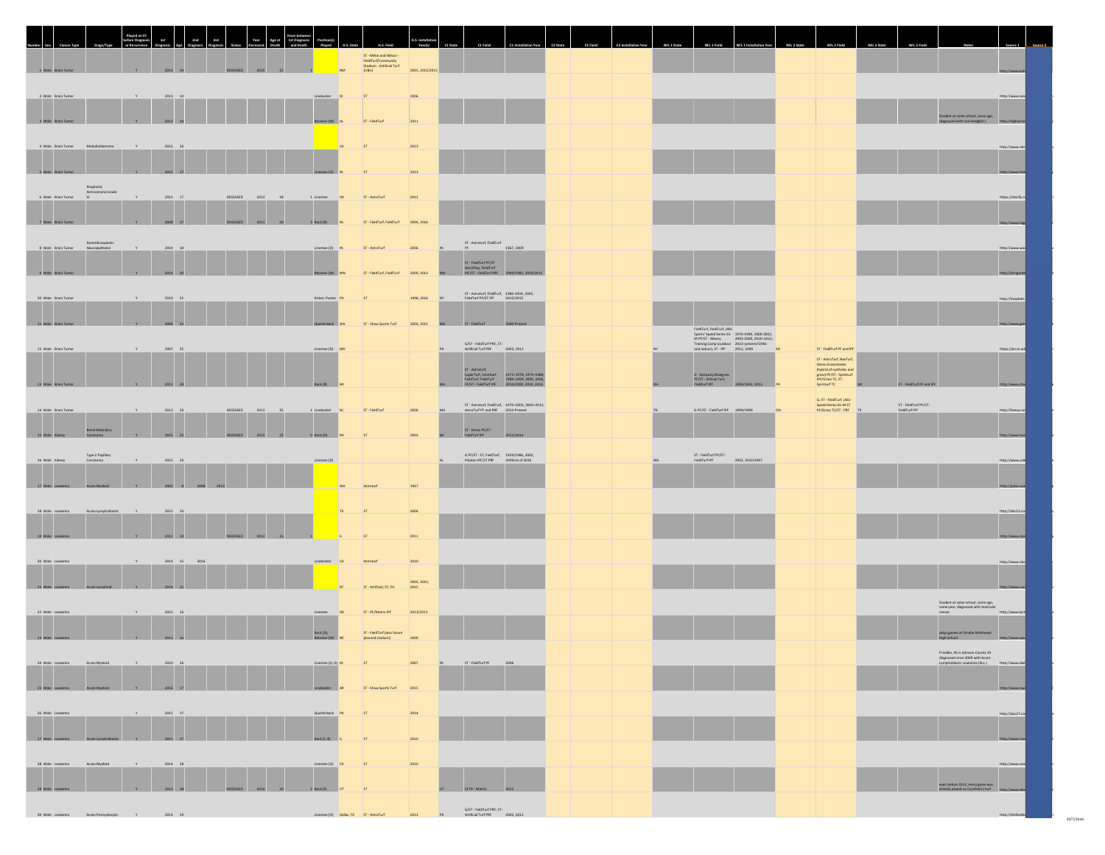| 1 Male Brain T                             |                                                             |                                            |                                       | ST - Milne and Wilson<br>FieldTurf/Community<br>Stadium - Artificial Turf<br>(UBU) | 2001, 2012/2013                                                                                                                                                                                                                |                                                                                                                                                                                                                             |  |                                                                                                                                                                                                                                        |    |                                                                                                                                                                                                      |                                                                      |                                                                                                       |                                    |  |
|--------------------------------------------|-------------------------------------------------------------|--------------------------------------------|---------------------------------------|------------------------------------------------------------------------------------|--------------------------------------------------------------------------------------------------------------------------------------------------------------------------------------------------------------------------------|-----------------------------------------------------------------------------------------------------------------------------------------------------------------------------------------------------------------------------|--|----------------------------------------------------------------------------------------------------------------------------------------------------------------------------------------------------------------------------------------|----|------------------------------------------------------------------------------------------------------------------------------------------------------------------------------------------------------|----------------------------------------------------------------------|-------------------------------------------------------------------------------------------------------|------------------------------------|--|
| 2 Male Brain Tumor                         | $2013\quad 14$                                              |                                            |                                       | ST                                                                                 | 2006                                                                                                                                                                                                                           |                                                                                                                                                                                                                             |  |                                                                                                                                                                                                                                        |    |                                                                                                                                                                                                      |                                                                      |                                                                                                       | http://www.san                     |  |
| 3 Male Brain<br>4 Male Brain Tumor         | Medulloblastoma<br>2015 16                                  |                                            |                                       | ST - FieldTurf<br>2011<br>ST                                                       | 2013                                                                                                                                                                                                                           |                                                                                                                                                                                                                             |  |                                                                                                                                                                                                                                        |    |                                                                                                                                                                                                      |                                                                      | Student at same school, same age,                                                                     | http://www.nbc                     |  |
| 5 Male Brain Tumor                         | 2015                                                        |                                            |                                       |                                                                                    | 2013                                                                                                                                                                                                                           |                                                                                                                                                                                                                             |  |                                                                                                                                                                                                                                        |    |                                                                                                                                                                                                      |                                                                      |                                                                                                       | http://www.                        |  |
| 6 Male Brain Tumor<br>7 Male Brain         | Anaplastic<br>istrocytoma Grade<br>2012 17<br>2008          | DECEASED 2013<br>18<br>DECEASED<br>2011 20 | 1 Lineman VA<br>3 Back (R)            | ST - AstroTurf<br>2012<br>ST - FieldTurf, FieldTurf 2004, 2016                     |                                                                                                                                                                                                                                |                                                                                                                                                                                                                             |  |                                                                                                                                                                                                                                        |    |                                                                                                                                                                                                      |                                                                      |                                                                                                       | https://storify.c<br>http://www.   |  |
| 8 Male Brain Tumor                         | Dysembryoplastic<br>Neuroepithelial<br>2014 18              |                                            | Lineman (D) IN                        | ST - AstroTurf                                                                     | 2006                                                                                                                                                                                                                           | $$\sf ST$ - Astroturf, FieldTurf $$1967,2009$<br>ST - FieldTurf PF/ST<br>AstroPlay, FieldTurf<br>IPF/ST - FieldTurf PRF 2009/1985, 2010/2012                                                                                |  |                                                                                                                                                                                                                                        |    |                                                                                                                                                                                                      |                                                                      |                                                                                                       | http://www.wa                      |  |
| 9 Male Brain Tum<br>10 Male Brain Tumor    | 2014 20<br>2010 21                                          |                                            | Receiver (W)<br>Kicker, Punter PA     | ST - FieldTurf, FieldTurf 2000, 2013<br>ST                                         | 1998, 2016                                                                                                                                                                                                                     | ST - Astroturf, FieldTurf, 1980-2004, 2005,<br>FieldTurf PF/ST IPF 2015/2015                                                                                                                                                |  |                                                                                                                                                                                                                                        |    |                                                                                                                                                                                                      |                                                                      |                                                                                                       | http://bringn<br>http://hospitals. |  |
| 11 Male Brain Tumor                        | 2006 22                                                     |                                            | Quarterback                           | ST - Shaw Sports Turf                                                              | 2004, 2015                                                                                                                                                                                                                     | ST - FieldTurf 2000-Present                                                                                                                                                                                                 |  | FieldTurf, FieldTurf, UBU<br>Finantum, Finantum, UBU<br>Sports' Speak Series S5 - 1976-1999, 2000-2002,<br>M PF/ST - Albany - 2003-2009, 2010-2012,<br>Training Camp (outdoor 2013-present/1996-<br>and indoor), ST - IPF - 2012, 2009 |    |                                                                                                                                                                                                      |                                                                      |                                                                                                       | http://www                         |  |
| 12 Male Brain Tumor                        | $2007 - 25$                                                 |                                            | Lineman (D) MD                        |                                                                                    |                                                                                                                                                                                                                                | G/ST - FieldTurf PRF, ST -<br>Artificial Turf PRF 2003, 2012<br>ST - Astroturf,<br>SuperTurf, Omniturf, 1972-1978, 1979-1989,<br>FieldTurf, FieldTurf 1990-1999, 2000, 2016,<br>PF/ST - FieldTurf IPF 2014/2000, 2010, 2014 |  | G - Kentucky Bluegrass<br>PF/ST - Articial Turf,<br>Fieldturf IPF                                                                                                                                                                      | MI | ST - FieldTurf PF and IPF<br>ST - AstroTurf, NexTurf,<br>St - Astrolunt, Nexturt,<br>Desso Grassmaster<br>(hybrid of synthetic and<br>grass) PF/ST - Sprinturf<br>IPF/Grass TC, ST -<br>Sprinturf TC |                                                                      |                                                                                                       | https://en.m.wil                   |  |
| 13 Male Brain Tumor<br>14 Male Brain Tumor | 2011 28<br>V<br>$2012 - 34$                                 | DECEASED 2013<br>$-35$                     | Back (R)<br>1 Linebacker NJ           | ST - FieldTurf                                                                     | 2006                                                                                                                                                                                                                           | ST - Astroturf, FieldTurf, 1970-2003, 2004-2012,<br>AstroTurf PF and PRF 2012-Present                                                                                                                                       |  | 1999/1992.2013 P<br>G PF/ST - FieldTurf IPF 1999/1999                                                                                                                                                                                  |    | G, ST - FieldTurf, UBU-<br>Speed Series-SS-M ST<br>PF/Grass TC/ST - PRF                                                                                                                              | ST - FieldTurf PF and IPF<br>ST - FieldTurf PF/ST -<br>FieldTurf IPF |                                                                                                       | http://www.cb<br>http://heavy.com  |  |
| 15 Male Kidne                              | Renal Medullary<br>2015<br>Type 2 Papillary<br>Carcinoma    | 2015                                       | 0 Back (D)                            |                                                                                    | 2003                                                                                                                                                                                                                           | ST - Desso PF/ST -<br>FieldTurf IPF<br>1/2014<br>$\begin{tabular}{ll} $\text{G PF/ST-ST}, \text{FieldTurl}, & 1929/1986, 2002, \\ \text{Polytan IPF/ST PRF} & 2009/\text{as of } 2016 \end{tabular}$                        |  | ST - FieldTurf PF/ST -<br>FieldTurf IPF 2002, 2012/2007                                                                                                                                                                                |    |                                                                                                                                                                                                      |                                                                      |                                                                                                       | http://www.l                       |  |
| 16 Male Kidney<br>17 Male Les              | $2015\phantom{.0000}\phantom{00}24$<br>2002                 |                                            | Lineman (D)                           |                                                                                    |                                                                                                                                                                                                                                |                                                                                                                                                                                                                             |  |                                                                                                                                                                                                                                        |    |                                                                                                                                                                                                      |                                                                      |                                                                                                       | http://www.cele<br>http://pulse.se |  |
| 18 Male Leukemia<br>19 Male Leulo          | Acute Lymphoblastic<br>$2015 - 14$                          |                                            |                                       |                                                                                    | 2004<br>2011                                                                                                                                                                                                                   |                                                                                                                                                                                                                             |  |                                                                                                                                                                                                                                        |    |                                                                                                                                                                                                      |                                                                      |                                                                                                       | http://abc13.co<br>http://www.r    |  |
| 20 Male Leukemia                           | 2014 15 2016                                                |                                            | Linebacker CA                         | Astroturf                                                                          | 2010                                                                                                                                                                                                                           |                                                                                                                                                                                                                             |  |                                                                                                                                                                                                                                        |    |                                                                                                                                                                                                      |                                                                      |                                                                                                       | http://www.nbi                     |  |
| 21 Male Leuken<br>22 Male Leukemia         | 2014<br>2015 16                                             |                                            | Lineman OK                            | ST - Artificial, ST, FH<br>2015<br>ST-PF/Matrix IPF                                | 2002, 2015,<br>2013/2013                                                                                                                                                                                                       |                                                                                                                                                                                                                             |  |                                                                                                                                                                                                                                        |    |                                                                                                                                                                                                      |                                                                      | Student at same school, same age,<br>same year, diagnosed with testicular<br>cancer.                  | http://www<br>http://www.kirl      |  |
| 23 Male Leulo                              | 2012 16                                                     |                                            | Back (D),<br>Receiver (W)             | ST - FieldTurf (also future<br>2009<br>planned stadium)                            |                                                                                                                                                                                                                                |                                                                                                                                                                                                                             |  |                                                                                                                                                                                                                                        |    |                                                                                                                                                                                                      |                                                                      | plays games at Omaha Northwest<br>High School                                                         | http://w                           |  |
| 24 Male Leukemia<br>25 Male Leukemia       | Acute Myeloid<br>Y<br>2010 16<br>Acute Myeloid<br>Y 2016 17 |                                            | Lineman (O, D) IN<br>Linebacker AR    | ST<br>ST - Shaw Sports Turf 2015                                                   | 2007                                                                                                                                                                                                                           | ST - FieldTurf PF 2006                                                                                                                                                                                                      |  |                                                                                                                                                                                                                                        |    |                                                                                                                                                                                                      |                                                                      | Franklin, IN in Johnson County 10<br>diagnosed since 2009 with Acute<br>Lymphoblastic Leukemia (ALL.) | http://www.da                      |  |
| 26 Male Leukemia                           | $2015 - 17$                                                 |                                            | Quarterback PA                        | ST<br>2014                                                                         |                                                                                                                                                                                                                                |                                                                                                                                                                                                                             |  |                                                                                                                                                                                                                                        |    |                                                                                                                                                                                                      |                                                                      |                                                                                                       | http://abc27.c                     |  |
| 27 Male Leulo<br>28 Male Leukemia          | 2011 17<br>Acute Myeloid<br>$2014\quad 18$<br>V             |                                            | Back (L, R)      <br>Lineman (O) $CA$ | ST<br>2010<br>ST                                                                   | 2010                                                                                                                                                                                                                           |                                                                                                                                                                                                                             |  |                                                                                                                                                                                                                                        |    |                                                                                                                                                                                                      |                                                                      |                                                                                                       | http://www.san                     |  |
| 29 Male Leuk                               | 2012 18                                                     | DECEASED 2014 20                           | 2 Back (F) UT                         | ST                                                                                 |                                                                                                                                                                                                                                |                                                                                                                                                                                                                             |  |                                                                                                                                                                                                                                        |    |                                                                                                                                                                                                      |                                                                      | even before 2012, every game was<br>already played on [synthetic] turf http:                          |                                    |  |
|                                            | 30 Male Leukemia Acute Promyelocytic Y 7 2014 19            |                                            |                                       |                                                                                    | CAST - FieldTurf PRF, ST - Electronic CAST - Electronic CAST - Electronic CAST - Electronic CAST - CAST - Electronic CAST - CAST - Electronic CAST - CAST - Electronic CAST - CAST - CAST - CAST - CAST - CAST - CAST - CAST - |                                                                                                                                                                                                                             |  |                                                                                                                                                                                                                                        |    |                                                                                                                                                                                                      |                                                                      |                                                                                                       | http://thefootb                    |  |

10/7/2016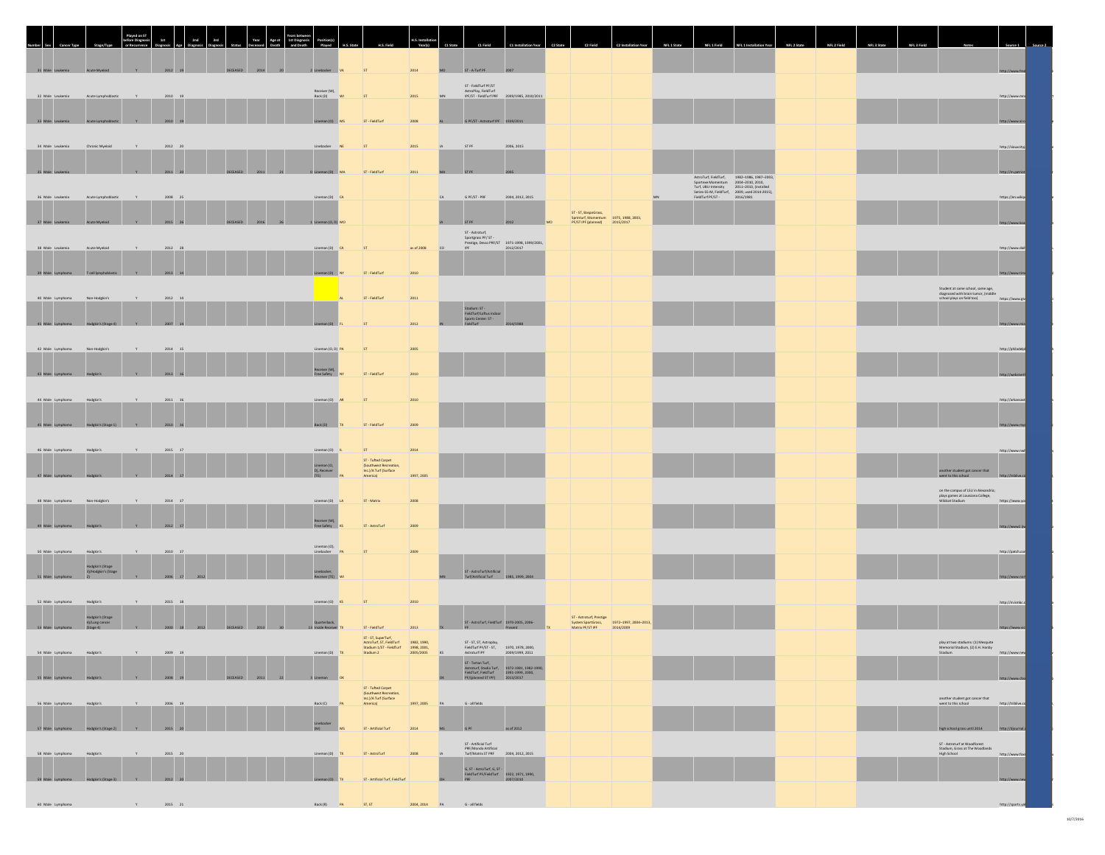|                            |                                                 |              |                 |               | Year             |           |                                                                                         |                                                                                                     |                   |                                                                              |                                                                                                                                                                                                                                                                                   |                                                                                                    |  |                                                                                                                                |  |  |                                                                                                        |                   |  |
|----------------------------|-------------------------------------------------|--------------|-----------------|---------------|------------------|-----------|-----------------------------------------------------------------------------------------|-----------------------------------------------------------------------------------------------------|-------------------|------------------------------------------------------------------------------|-----------------------------------------------------------------------------------------------------------------------------------------------------------------------------------------------------------------------------------------------------------------------------------|----------------------------------------------------------------------------------------------------|--|--------------------------------------------------------------------------------------------------------------------------------|--|--|--------------------------------------------------------------------------------------------------------|-------------------|--|
| 31 Male Leukemia           | Acute Myeloid                                   | V            | 2012 19         | DECEASED 2014 | 20               |           | 2 Linebacker VA                                                                         | ST                                                                                                  | 2014              | ST - A-Turf PF<br>MD                                                         | 2007                                                                                                                                                                                                                                                                              |                                                                                                    |  |                                                                                                                                |  |  |                                                                                                        |                   |  |
|                            |                                                 |              |                 |               |                  |           |                                                                                         |                                                                                                     |                   | ST - FieldTurf PF/ST                                                         |                                                                                                                                                                                                                                                                                   |                                                                                                    |  |                                                                                                                                |  |  |                                                                                                        |                   |  |
| 32 Male Leukemia           | Acute Lymphoblastic                             | V            | 2010 19         |               |                  |           | Receiver (W),<br>Back (D)<br>w                                                          | ST                                                                                                  | 2015<br>MN        |                                                                              | AstroPlay, FieldTurf<br>IPF/ST - FieldTurf PRF 2009/1985, 2010/2011                                                                                                                                                                                                               |                                                                                                    |  |                                                                                                                                |  |  |                                                                                                        | http://www.m      |  |
| 33 Male Leuk               |                                                 |              | 2010 19         |               |                  |           | neman (O) MS                                                                            | ST - FieldTurf                                                                                      | 2008              | G PE/ST - Astroburt IPF 1939/2011                                            |                                                                                                                                                                                                                                                                                   |                                                                                                    |  |                                                                                                                                |  |  |                                                                                                        | http://www.       |  |
|                            |                                                 |              |                 |               |                  |           |                                                                                         |                                                                                                     |                   |                                                                              |                                                                                                                                                                                                                                                                                   |                                                                                                    |  |                                                                                                                                |  |  |                                                                                                        |                   |  |
| 34 Male Leukemia           | Chronic Myeloid                                 |              | $2012 - 20$     |               |                  |           | Linebacker                                                                              | ST                                                                                                  | 2015              | STPF                                                                         | 2006, 2015                                                                                                                                                                                                                                                                        |                                                                                                    |  |                                                                                                                                |  |  |                                                                                                        | http://siouxcit   |  |
| 35 Male Leuke              |                                                 |              | 2011 20         |               | 2011<br>21       |           | 0 Lineman (D) MA                                                                        | ST - FieldTurf                                                                                      | 2011              | <b>STPF</b>                                                                  |                                                                                                                                                                                                                                                                                   |                                                                                                    |  |                                                                                                                                |  |  |                                                                                                        |                   |  |
|                            |                                                 |              |                 |               |                  |           |                                                                                         |                                                                                                     |                   |                                                                              |                                                                                                                                                                                                                                                                                   |                                                                                                    |  | AstroTurf, FieldTurf, 1982-1986, 1987-2003,<br>Sportexe Momentum 2004-2010, 2010,<br>Turf, UBU-Intensity 2011-2013, (installed |  |  |                                                                                                        |                   |  |
| 36 Male Leukemia           | Acute Lymphoblastic                             |              | $2008 - 25$     |               |                  |           | Lineman (D) CA                                                                          |                                                                                                     |                   | G PF/ST - PRF                                                                | 2004, 2012, 2015                                                                                                                                                                                                                                                                  |                                                                                                    |  | Series-S5-M, FieldTurf, 2009, used 2014-2015),<br>FieldTurf PF/ST - 2016/1981                                                  |  |  |                                                                                                        | https://en.wikip  |  |
| 37 Male Les                |                                                 |              |                 |               |                  |           | neman (O, D) M                                                                          |                                                                                                     |                   |                                                                              |                                                                                                                                                                                                                                                                                   | ST - ST, BaspoGrass,<br>Sprinturf, Momentum 1975, 1988, 2003,<br>PF/ST IPF (planned) 2015/2017     |  |                                                                                                                                |  |  |                                                                                                        |                   |  |
|                            |                                                 |              |                 |               |                  |           |                                                                                         |                                                                                                     |                   | $\textsf{ST}$ - Astroturf,                                                   | $\begin{tabular}{ll} {\bf Spectgress~PF/ST} \, . \\ \hline \end{tabular} \begin{tabular}{ll} \bf \textit{Sportigas~PF/ST} \, . \\ \hline \end{tabular} \begin{tabular}{ll} \bf \textit{Percitys, Descos~PRF/ST} \, & 1971-1998, 1999/2001, \\ \hline \end{tabular} \end{tabular}$ |                                                                                                    |  |                                                                                                                                |  |  |                                                                                                        |                   |  |
| 38 Male Leukemia           | Acute Myeloid                                   |              | $2012\qquad 28$ |               |                  |           | Lineman (D) CA                                                                          | ST                                                                                                  | as of 2008        |                                                                              |                                                                                                                                                                                                                                                                                   |                                                                                                    |  |                                                                                                                                |  |  |                                                                                                        | http://www.dai    |  |
| 39 Male Lymp               |                                                 |              | 2013 14         |               |                  |           | Lineman (D) NY                                                                          | ST - FieldTurf                                                                                      | 2010              |                                                                              |                                                                                                                                                                                                                                                                                   |                                                                                                    |  |                                                                                                                                |  |  |                                                                                                        | http://www.       |  |
|                            |                                                 |              |                 |               |                  |           |                                                                                         |                                                                                                     |                   |                                                                              |                                                                                                                                                                                                                                                                                   |                                                                                                    |  |                                                                                                                                |  |  | Student at same school, same age,<br>diagnosed with brain tumor, (middle<br>school plays on field too) |                   |  |
| 40 Male Lymphoma           | Non-Hodgkin's                                   |              | $2012 - 14$     |               |                  |           |                                                                                         | ST-FieldTurf                                                                                        | 2011              |                                                                              |                                                                                                                                                                                                                                                                                   |                                                                                                    |  |                                                                                                                                |  |  |                                                                                                        | https://www.giv   |  |
| 41 Male Lymphoma           | Hodekin's (Stage 4)                             | Y            | 2007 14         |               |                  |           | Lineman (D)                                                                             | <b>ST</b>                                                                                           | 2012              | Stadium: ST -<br>FieldTurf/Loftus Indoor<br>Sports Center: ST -<br>FieldTurf | 2014/1988                                                                                                                                                                                                                                                                         |                                                                                                    |  |                                                                                                                                |  |  |                                                                                                        |                   |  |
|                            |                                                 |              |                 |               |                  |           |                                                                                         |                                                                                                     |                   |                                                                              |                                                                                                                                                                                                                                                                                   |                                                                                                    |  |                                                                                                                                |  |  |                                                                                                        |                   |  |
| 42 Male Lymphoma           | Non-Hodakin's                                   |              | 2014 15         |               |                  |           | Lineman (O, D) PA                                                                       | ST                                                                                                  | 2005              |                                                                              |                                                                                                                                                                                                                                                                                   |                                                                                                    |  |                                                                                                                                |  |  |                                                                                                        | http://philad     |  |
| 43 Male Lym                |                                                 |              | 2013 16         |               |                  |           | Receiver (W)<br>Free Safety NY                                                          | ST - FieldTurf                                                                                      | 2010              |                                                                              |                                                                                                                                                                                                                                                                                   |                                                                                                    |  |                                                                                                                                |  |  |                                                                                                        | http://web        |  |
|                            |                                                 |              |                 |               |                  |           |                                                                                         |                                                                                                     |                   |                                                                              |                                                                                                                                                                                                                                                                                   |                                                                                                    |  |                                                                                                                                |  |  |                                                                                                        |                   |  |
| 44 Male Lymphoma           | Hodekin's                                       | <b>V</b>     | 2011 16         |               |                  |           | Lineman (O) AR                                                                          | ST                                                                                                  | 2010              |                                                                              |                                                                                                                                                                                                                                                                                   |                                                                                                    |  |                                                                                                                                |  |  |                                                                                                        | http://arkansas   |  |
| 45 Male Lyr                |                                                 |              | $2010 - 16$     |               |                  |           | Back (D)                                                                                | ST - FieldTurf                                                                                      | 2009              |                                                                              |                                                                                                                                                                                                                                                                                   |                                                                                                    |  |                                                                                                                                |  |  |                                                                                                        |                   |  |
|                            |                                                 |              |                 |               |                  |           |                                                                                         |                                                                                                     |                   |                                                                              |                                                                                                                                                                                                                                                                                   |                                                                                                    |  |                                                                                                                                |  |  |                                                                                                        |                   |  |
| 46 Male Lymphoma           | Hodgkin's                                       |              | 2015 17         |               |                  |           | Lineman (O) R                                                                           | ST<br>ST - Tufted Carpet                                                                            | 2014              |                                                                              |                                                                                                                                                                                                                                                                                   |                                                                                                    |  |                                                                                                                                |  |  |                                                                                                        | http://www.mel    |  |
| 47 Male Lymp               |                                                 |              | 2014 17         |               |                  |           | Lineman (O,<br>D), Receiver<br>(TE)                                                     | (Southwest Recreation)<br>$\frac{\ln c. \gamma A \text{ Turf (Surface}}{\text{America}}$            | 1997, 2005        |                                                                              |                                                                                                                                                                                                                                                                                   |                                                                                                    |  |                                                                                                                                |  |  | another student got cancer that<br>went to this school                                                 |                   |  |
|                            |                                                 |              |                 |               |                  |           |                                                                                         |                                                                                                     |                   |                                                                              |                                                                                                                                                                                                                                                                                   |                                                                                                    |  |                                                                                                                                |  |  | on the campus of LSU in Alexandria;<br>plays games at Louisiana College,<br>Wildcat Stadium            |                   |  |
| 48 Male Lymphoma           | Non-Hodgkin's                                   |              | $2014 - 17$     |               |                  |           | Lineman (D) LA                                                                          | ST-Matrix                                                                                           | 2008              |                                                                              |                                                                                                                                                                                                                                                                                   |                                                                                                    |  |                                                                                                                                |  |  |                                                                                                        | https://www.yo    |  |
| 49 Male Lymp               |                                                 |              | $2012 - 17$     |               |                  |           | Receiver (W),<br>Free Safety                                                            | ST-AstroTurf                                                                                        | 2009              |                                                                              |                                                                                                                                                                                                                                                                                   |                                                                                                    |  |                                                                                                                                |  |  |                                                                                                        | http://ww         |  |
|                            |                                                 |              |                 |               |                  |           | $\begin{array}{cc}\n\text{Linear (O)}\\ \text{Linear (O)}\\ \end{array}$                |                                                                                                     |                   |                                                                              |                                                                                                                                                                                                                                                                                   |                                                                                                    |  |                                                                                                                                |  |  |                                                                                                        |                   |  |
| 50 Male Lymphoma           | Hodgkin's                                       | Y            | $2010\qquad 17$ |               |                  |           |                                                                                         | ST                                                                                                  | 2009              |                                                                              |                                                                                                                                                                                                                                                                                   |                                                                                                    |  |                                                                                                                                |  |  |                                                                                                        | http://patch.co   |  |
| 51 Male Lymp               | Hodgkin's (Stage<br>3)/Hodgkin's (Stage<br> 21  |              | 2006 17         |               |                  |           | Linebacker,<br>Receiver (TE)                                                            |                                                                                                     |                   | ST - AstroTurf/Artificial                                                    | Turf/Artificial Turf 1985, 1999, 2004                                                                                                                                                                                                                                             |                                                                                                    |  |                                                                                                                                |  |  |                                                                                                        | http://www.       |  |
|                            |                                                 |              |                 |               |                  |           |                                                                                         |                                                                                                     |                   |                                                                              |                                                                                                                                                                                                                                                                                   |                                                                                                    |  |                                                                                                                                |  |  |                                                                                                        |                   |  |
| 52 Male Lymphoma           | Hodgkin's                                       | Y            | 2015 18         |               |                  |           | Lineman (O) KS                                                                          | ST                                                                                                  | 2010              |                                                                              |                                                                                                                                                                                                                                                                                   |                                                                                                    |  |                                                                                                                                |  |  |                                                                                                        | http://m.kmbc.    |  |
| 53 Male Lymphoma           | Hodgkin's (Stage<br>4)/Lung cancer<br>(Stage 4) |              | 2000 18 2012    |               | DECEASED 2013 30 |           | Quarterback,<br>13 Inside Receiver                                                      | ST-FieldTurf                                                                                        | 2013              | PF                                                                           | ST - AstroTurf, FieldTurf 1970-2005, 2006-<br>Present                                                                                                                                                                                                                             | ST - Astroturf, Prestige<br>System SportGrass, 1972–1997, 2004–2013,<br>Matrix PF/ST IPF 2014/2009 |  |                                                                                                                                |  |  |                                                                                                        | https://www       |  |
|                            |                                                 |              |                 |               |                  |           |                                                                                         | ST - ST, SuperTurf,<br>AstroTurf, ST, FieldTurf 1982, 1990,<br>Stadium 1/ST - FieldTurf 1998, 2001, |                   |                                                                              | ST - ST, ST, Astroplay,<br>FieldTurf PF/ST - ST, 1970, 1978, 2000,                                                                                                                                                                                                                |                                                                                                    |  |                                                                                                                                |  |  | play at two stadiums: (1) Mesquite<br>Memorial Stadium, (2) E.H. Hanby                                 |                   |  |
| 54 Male Lymphoma Hodgkin's |                                                 |              | 2009 19         |               |                  |           | Lineman (D) TX                                                                          | Stadium 2                                                                                           | 2005/2005         | Astroturf IPF                                                                | 2009/1999, 2011                                                                                                                                                                                                                                                                   |                                                                                                    |  |                                                                                                                                |  |  | Stadium                                                                                                | http://www.n      |  |
| 55 Male Lymphome           |                                                 |              | 2008 19         |               | 2011<br>22       | 3 Lineman |                                                                                         |                                                                                                     |                   |                                                                              | ST - Tartan Turf,<br>Astroturf, Stadia Turf, 1972-1981, 1982-1990,<br>FieldTurf, FieldTurf 1991-1999, 2000,<br>PF/[planned STIPF] 2013/2017                                                                                                                                       |                                                                                                    |  |                                                                                                                                |  |  |                                                                                                        | http://www        |  |
|                            |                                                 |              |                 |               |                  |           |                                                                                         | ST - Tufted Carpet<br>(Southwest Recreation,<br>Inc.)/A Turf (Surface<br>America)                   |                   |                                                                              |                                                                                                                                                                                                                                                                                   |                                                                                                    |  |                                                                                                                                |  |  | $\begin{array}{c} \text{another student got cancer that}\\ \text{went to this school} \end{array}$     |                   |  |
| 56 Male Lymphoma           | Hodekin's                                       |              | 2006 19         |               |                  |           | Back (C) PA                                                                             |                                                                                                     | 1997, 2005<br>PA  | G - all fields                                                               |                                                                                                                                                                                                                                                                                   |                                                                                                    |  |                                                                                                                                |  |  |                                                                                                        | http://triblive.c |  |
|                            | 57 Male Lymphoma Hodgkin's (Stage 2)            | $Y = Y$      | 2015 20         |               |                  |           | $\begin{array}{l l} \text{Linebacker} \\ \text{(M)} \end{array} \hspace{1cm} \text{MS}$ | ST - Artificial Turf                                                                                | 2014<br><b>MS</b> | GPF                                                                          | as of 2012                                                                                                                                                                                                                                                                        |                                                                                                    |  |                                                                                                                                |  |  | high school grass until 2014                                                                           | hero              |  |
|                            |                                                 |              |                 |               |                  |           |                                                                                         |                                                                                                     |                   |                                                                              | ST - Artificial Turf<br>PRF/Mondo Artificial<br>Turf/Matrix ST PRF 2004, 2012, 2015                                                                                                                                                                                               |                                                                                                    |  |                                                                                                                                |  |  | ST - Astroturf at Woodforest<br>Stadium, Grass at The Woodlands                                        |                   |  |
| 58 Male Lymphoma           | Hodekin's                                       |              | $2015 - 20$     |               |                  |           | Lineman (D) $N$                                                                         | ST-AstroTurf                                                                                        | 2008              |                                                                              |                                                                                                                                                                                                                                                                                   |                                                                                                    |  |                                                                                                                                |  |  | High School                                                                                            | http://www.fox    |  |
| 59 Male Lymphoma           | Hodelin's (Stage 3)                             | $ -$         | 2012 20         |               |                  |           | Lineman (O)                                                                             | ST - Artificial Turf, FieldTurf                                                                     |                   |                                                                              | G, ST - AstroTurf, G, ST -<br>FieldTurf PF/FieldTurf 1922, 1971, 1990,<br>PRF 2007/2010                                                                                                                                                                                           |                                                                                                    |  |                                                                                                                                |  |  |                                                                                                        |                   |  |
|                            |                                                 |              |                 |               |                  |           |                                                                                         |                                                                                                     |                   |                                                                              |                                                                                                                                                                                                                                                                                   |                                                                                                    |  |                                                                                                                                |  |  |                                                                                                        |                   |  |
| 60 Male Lymphoma           |                                                 | $\mathsf{Y}$ | 2015 21         |               |                  |           | Back (R) PA                                                                             | ST, ST                                                                                              |                   | 2004, 2014 PA G - all fields                                                 |                                                                                                                                                                                                                                                                                   |                                                                                                    |  |                                                                                                                                |  |  |                                                                                                        | http://sports     |  |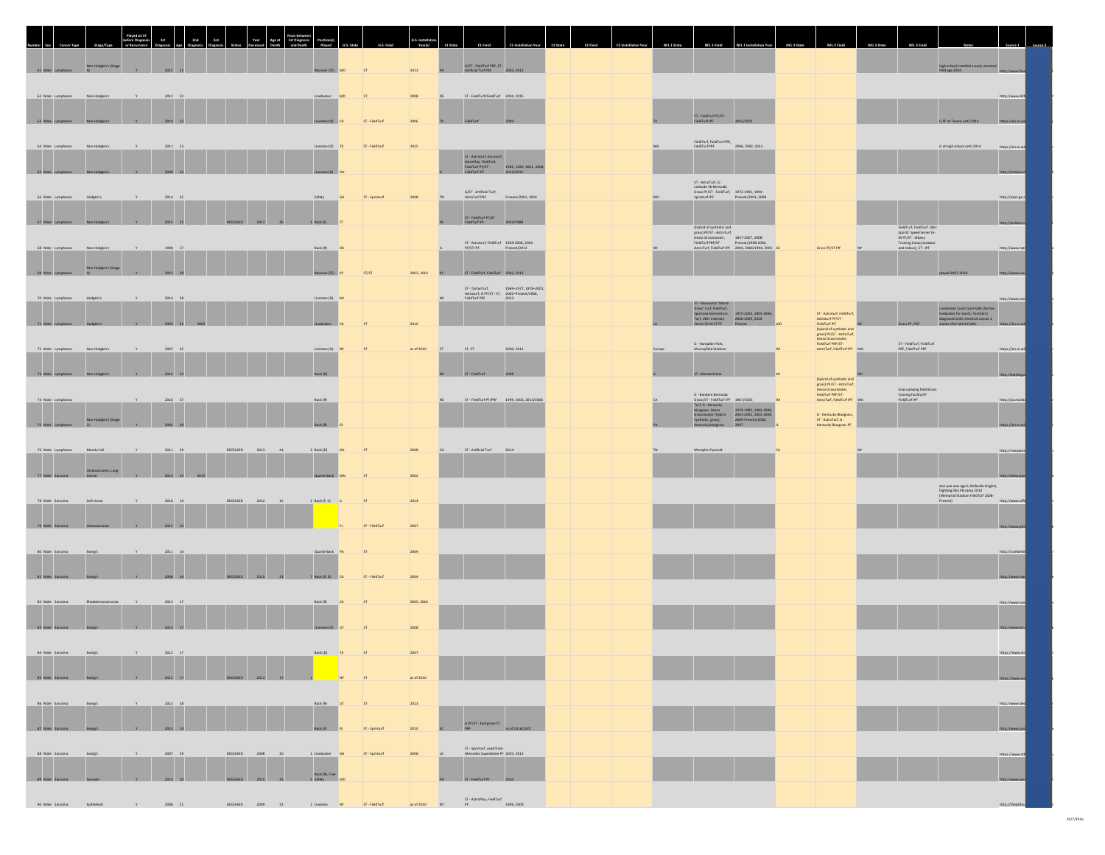|                                |                                            | 2nd                                                         | 3rd<br>Year                                               | Age at<br>1st Diagnosi |                               |                |            |                                                                                                                                                                |  |                                                                                                                                                                                                                                                                                                                                                                               |                                                                                                                                  |                                                                                                                              |                                                                                                                          |                   |
|--------------------------------|--------------------------------------------|-------------------------------------------------------------|-----------------------------------------------------------|------------------------|-------------------------------|----------------|------------|----------------------------------------------------------------------------------------------------------------------------------------------------------------|--|-------------------------------------------------------------------------------------------------------------------------------------------------------------------------------------------------------------------------------------------------------------------------------------------------------------------------------------------------------------------------------|----------------------------------------------------------------------------------------------------------------------------------|------------------------------------------------------------------------------------------------------------------------------|--------------------------------------------------------------------------------------------------------------------------|-------------------|
| 61 Male Lymphoma               | Non-Hodgkin's (Stage<br>41<br>$\mathbf{v}$ | 2015 21                                                     |                                                           |                        | Receiver (TE) MO              | ST             | 2012       | G/ST - FieldTurf PRF, ST -<br>Artificial Turf PRF 2003, 2012<br>PA.                                                                                            |  |                                                                                                                                                                                                                                                                                                                                                                               |                                                                                                                                  |                                                                                                                              | high school installed a used, donated<br>field age 2004                                                                  |                   |
|                                |                                            |                                                             |                                                           |                        |                               |                |            |                                                                                                                                                                |  |                                                                                                                                                                                                                                                                                                                                                                               |                                                                                                                                  |                                                                                                                              |                                                                                                                          |                   |
| 62 Male Lymphoma Non-Hodgkin's |                                            | $\mathbf{v}$<br>2012 22                                     |                                                           |                        | Linebacker MD                 | ST             | 2008       | ST - FieldTurf/FieldTurf 2004, 2015                                                                                                                            |  |                                                                                                                                                                                                                                                                                                                                                                               |                                                                                                                                  |                                                                                                                              |                                                                                                                          | http://www.d3f    |
| 63 Male Lymph                  |                                            | $2014 - 2$                                                  |                                                           |                        |                               | ST - FieldTurf | 2006       |                                                                                                                                                                |  | ST - FieldTurf PF/ST -<br>FieldTurf IPF<br>201                                                                                                                                                                                                                                                                                                                                |                                                                                                                                  |                                                                                                                              | G PF at Texas                                                                                                            |                   |
|                                |                                            |                                                             |                                                           |                        |                               |                |            |                                                                                                                                                                |  | FieldTurf, FieldTurf PRF,                                                                                                                                                                                                                                                                                                                                                     |                                                                                                                                  |                                                                                                                              |                                                                                                                          |                   |
| 64 Male Lymphoma               | Non-Hodgkin's                              | $2011$ 23                                                   |                                                           |                        | Lineman (O) TX                | ST - FieldTurf | 2015       |                                                                                                                                                                |  | FieldTurf PRF<br>2006, 2002, 2012                                                                                                                                                                                                                                                                                                                                             |                                                                                                                                  |                                                                                                                              | G at high school until 2014                                                                                              | https://en.m.wil  |
| 65 Male Lymphoma               |                                            | Y<br>2009 23                                                |                                                           |                        | Lineman (D)                   |                |            | ST - Astroturf, Astroturf,<br>AstroPlay, FieldTurf,<br>FieldTurf PF/ST -<br>FieldTurf PF<br>1985, 1989, 2001, 2008<br>2012/2012                                |  |                                                                                                                                                                                                                                                                                                                                                                               |                                                                                                                                  |                                                                                                                              |                                                                                                                          | http://article    |
|                                |                                            |                                                             |                                                           |                        |                               |                |            | $G/ST$ - Artificial Turf,                                                                                                                                      |  | ST - AstroTurf, G -<br>Latitude 36 Bermuda<br>Grass PF/ST - FieldTurf, 1972-1993, 1994-<br>Sprinturf IPF Present/2001, 2008                                                                                                                                                                                                                                                   |                                                                                                                                  |                                                                                                                              |                                                                                                                          |                   |
| 66 Male Lymphoma               | Hodgkin's                                  | 2014 25                                                     |                                                           |                        | Safety<br>GA                  | ST-Sprinturf   | 2008       | Present/2001, 2010<br>AstroTurf PRF                                                                                                                            |  |                                                                                                                                                                                                                                                                                                                                                                               |                                                                                                                                  |                                                                                                                              |                                                                                                                          | http://espn.go.c  |
| 67 Male Lymphoma               |                                            | 2012 25<br><b>Y</b>                                         | DECEASED<br>2013                                          |                        | 1 Back (F)                    |                |            | ST - FieldTurf PF/ST -<br>FieldTurf IPF 2014/1988                                                                                                              |  |                                                                                                                                                                                                                                                                                                                                                                               |                                                                                                                                  |                                                                                                                              |                                                                                                                          | http://article    |
|                                |                                            |                                                             |                                                           |                        |                               |                |            | $\begin{tabular}{ll} \textbf{ST-Astructurf, FieldTurf} & \textbf{1969-2000, 2001-} \\ \textbf{PF/ST PFF} & \textbf{Pf:} & \textbf{Present/2013} \end{tabular}$ |  |                                                                                                                                                                                                                                                                                                                                                                               |                                                                                                                                  | FieldTurf, FieldTurf, UBU<br>Sports' Speed Series SS-<br>M PF/ST - Albany<br>Training Camp (outdoor<br>and indoor), ST - IPF |                                                                                                                          |                   |
| 68 Male Lymphoma               | Non-Hodgkin's                              | Y.<br>1998 27                                               |                                                           |                        | Back (R) OK                   |                |            |                                                                                                                                                                |  |                                                                                                                                                                                                                                                                                                                                                                               | Grass PF/ST IPF                                                                                                                  |                                                                                                                              |                                                                                                                          | http://www.mt     |
| 69 Male Lymphoma               | Non-Hodgkin's (Stage<br>$-41$<br>Y         | 2015 28                                                     |                                                           |                        | Receiver (TE)                 | ST/ST          | 2002, 2013 | ST - FieldTurf, FieldTurf 2003, 2013                                                                                                                           |  |                                                                                                                                                                                                                                                                                                                                                                               |                                                                                                                                  |                                                                                                                              |                                                                                                                          | http://www        |
|                                | Hodekin's                                  | 2014 28                                                     |                                                           |                        |                               |                |            | ST - TartanTurf, 1969-1977, 1978-2001,<br>Astroturf, G PF/ST - ST, 2002-Present/2006,<br>FieldTurf PRF 2013                                                    |  |                                                                                                                                                                                                                                                                                                                                                                               |                                                                                                                                  |                                                                                                                              |                                                                                                                          |                   |
| 70 Male Lymphoma               |                                            |                                                             |                                                           |                        | Lineman (D) MI                |                |            |                                                                                                                                                                |  | ST - Monsanto "Mardi<br>Grass" turf, FieldTurf,<br>Sportexe Momentum<br>Turf, UBU-Intensity<br>Terris - Sportexe 2009, 2010-<br>Series-SS-M ST PF<br>Present<br>Present                                                                                                                                                                                                       |                                                                                                                                  |                                                                                                                              | Linebacker Coach Sam Mills (former<br>linebacker for Saints, Panthers)                                                   | http://www.mca    |
| 71 Male Lymphoma               | Y<br>Hodekin's                             | 2003 31 200                                                 |                                                           |                        | Linebacker                    |                | 2010       |                                                                                                                                                                |  |                                                                                                                                                                                                                                                                                                                                                                               | ST - Astroturf, FieldTurf,<br>Astroturf PF/ST -<br>FieldTurf IPF<br>(hybrid of synthetic and                                     | Grass PF, PRF                                                                                                                | diagnosed with intestinal cancer 2<br>weeks after Mark Fields.                                                           |                   |
| 72 Male Lymphoma               | Non-Hodgkin'                               | 2007 32<br>$\mathbf{v}$                                     |                                                           |                        | Lineman (O) NY                | ST             | as of 2010 | ST. ST<br>2000, 2011                                                                                                                                           |  | G - Hampden Park,<br>Murrayfield Stadium                                                                                                                                                                                                                                                                                                                                      | grass) PF/ST - AstroTurt,<br>Desso Grassmaster,<br>FieldTurf PRF/ST -<br>AstroTurf, FieldTurf IPF MA                             | ST - FieldTurf, FieldTurf<br>PRF, FieldTurf PRF                                                                              |                                                                                                                          | https://en.m.wil  |
|                                |                                            |                                                             |                                                           |                        |                               |                |            |                                                                                                                                                                |  |                                                                                                                                                                                                                                                                                                                                                                               |                                                                                                                                  |                                                                                                                              |                                                                                                                          |                   |
| 73 Male Lympt                  | $ -$                                       | $2014$ 33                                                   |                                                           |                        |                               |                |            | ST. FieldTurf                                                                                                                                                  |  | ST-Alistate A                                                                                                                                                                                                                                                                                                                                                                 |                                                                                                                                  |                                                                                                                              |                                                                                                                          | http://battl      |
| 74 Male Lymphoma               |                                            | $\mathbf{v}$<br>$2016\phantom{.0}\phantom{.0}\phantom{0}37$ |                                                           |                        | Back (R)                      |                |            | ST - FieldTurf PF/PRF 1999, 2006, 2013/2006                                                                                                                    |  |                                                                                                                                                                                                                                                                                                                                                                               | (hybrid of synthetic and<br>grass) PF/ST - AstroTurf,<br>Desso Grassmatter,<br>FieldTurf PRF/ST -<br>AstroTurf, FieldTurf IPF MA | Grass playing field/Grass<br>training facility/ST -<br>FieldTurf IPF                                                         |                                                                                                                          | http://iournalst  |
|                                |                                            |                                                             |                                                           |                        |                               |                |            |                                                                                                                                                                |  | $\begin{tabular}{l} $G$ - Bandera Bernuda \\ \hline Grac(f) - F. {\it field} Thereif $P$ = 967/2005 \\ \hline \end{tabular} \begin{tabular}{l} \hline \textbf{Unagra}, $DccG$ & 1967/2005 \\ \hline \textbf{Unlagra}, $Dccc$ & 1970-1882, 1983-2000, \\ \hline \textbf{Unagra}, $Dccc$ & 1970-1882, 1983-2008, \\ \hline \textbf{Gr} & 1970-1882, 1983, 1983, 1983, 1983, 19$ | G - Kentucky Bluegrass,                                                                                                          |                                                                                                                              |                                                                                                                          |                   |
| 75 Male Lymphoma               | Non-Hodgkin's (Stage<br>Y                  | 2003 38                                                     |                                                           |                        |                               |                |            |                                                                                                                                                                |  | synthetic, grass),                                                                                                                                                                                                                                                                                                                                                            | ST - AstroTurf, G -<br>Kentucky Bluegrass PF                                                                                     |                                                                                                                              |                                                                                                                          | https://en.n      |
| 76 Male Lymphoma               | Mantle Cell                                | 2011 39                                                     | $\begin{array}{ll} \texttt{DECEASED} \end{array}$<br>2013 | $-41$                  | 2 Back (D)                    | ST             | 2008       | ST - Artificial Turf<br>2014                                                                                                                                   |  | Memphis Pyramid                                                                                                                                                                                                                                                                                                                                                               |                                                                                                                                  |                                                                                                                              |                                                                                                                          | http://riverparis |
|                                |                                            |                                                             |                                                           |                        |                               |                |            |                                                                                                                                                                |  |                                                                                                                                                                                                                                                                                                                                                                               |                                                                                                                                  |                                                                                                                              |                                                                                                                          |                   |
| 77 Male Sarcoma                | <b>Usteosarcoma, Lung</b>                  | $\mathbf{Y}$<br>2013 14 2015                                |                                                           |                        | Quarterback N                 |                | 2002       |                                                                                                                                                                |  |                                                                                                                                                                                                                                                                                                                                                                               |                                                                                                                                  |                                                                                                                              |                                                                                                                          | http://www        |
| 78 Male Sarcoma                | Soft tissue                                | 2010 14                                                     | DECEASED                                                  | 2012 15                | 2 Back (F, C) IL              | ST             | 2014       |                                                                                                                                                                |  |                                                                                                                                                                                                                                                                                                                                                                               |                                                                                                                                  |                                                                                                                              | also pee wee age 6, Belleville Knights,<br>Fighting Illini FB camp 2010<br>(Memorial Stadium FieldTurf 2008-<br>Present) | http://www.offi   |
|                                |                                            |                                                             |                                                           |                        |                               |                |            |                                                                                                                                                                |  |                                                                                                                                                                                                                                                                                                                                                                               |                                                                                                                                  |                                                                                                                              |                                                                                                                          |                   |
| 79 Male Sarcoma                | Y                                          | 2015 16                                                     |                                                           |                        |                               | ST - FieldTurf | 2007       |                                                                                                                                                                |  |                                                                                                                                                                                                                                                                                                                                                                               |                                                                                                                                  |                                                                                                                              |                                                                                                                          | http://www.       |
| 80 Male Sarcoma                | Ewing's                                    | 2011 16                                                     |                                                           |                        | Quarterback PA                | ST             | 2009       |                                                                                                                                                                |  |                                                                                                                                                                                                                                                                                                                                                                               |                                                                                                                                  |                                                                                                                              |                                                                                                                          | http://cumberl    |
|                                |                                            |                                                             |                                                           |                        |                               |                |            |                                                                                                                                                                |  |                                                                                                                                                                                                                                                                                                                                                                               |                                                                                                                                  |                                                                                                                              |                                                                                                                          |                   |
| 81 Male Sarcoma                |                                            | 2008 16<br><b>V</b>                                         | DECEASED 2015 23                                          |                        | 7 Back (R. D) CA              | ST - FieldTurf | 2004       |                                                                                                                                                                |  |                                                                                                                                                                                                                                                                                                                                                                               |                                                                                                                                  |                                                                                                                              |                                                                                                                          | http://www.       |
| 82 Male Sarcoma                | Rhabdomyosarcoma<br>Y                      | 2015 17                                                     |                                                           |                        | Back (R)<br>CA                | ST             | 2005, 2016 |                                                                                                                                                                |  |                                                                                                                                                                                                                                                                                                                                                                               |                                                                                                                                  |                                                                                                                              |                                                                                                                          | http://www.san    |
|                                |                                            |                                                             |                                                           |                        |                               |                |            |                                                                                                                                                                |  |                                                                                                                                                                                                                                                                                                                                                                               |                                                                                                                                  |                                                                                                                              |                                                                                                                          |                   |
| 83 Male Sarcoma                | Ewing's                                    | Y 2014 17                                                   |                                                           |                        | Lineman (O)                   |                | 2008       |                                                                                                                                                                |  |                                                                                                                                                                                                                                                                                                                                                                               |                                                                                                                                  |                                                                                                                              |                                                                                                                          | http://www.ksl.   |
| 84 Male Sarcoma                |                                            | 2012 17                                                     |                                                           |                        | Back (D) TX                   | ST             |            |                                                                                                                                                                |  |                                                                                                                                                                                                                                                                                                                                                                               |                                                                                                                                  |                                                                                                                              |                                                                                                                          | https://www.      |
|                                |                                            |                                                             |                                                           |                        |                               |                |            |                                                                                                                                                                |  |                                                                                                                                                                                                                                                                                                                                                                               |                                                                                                                                  |                                                                                                                              |                                                                                                                          |                   |
| 85 Male Saro                   |                                            |                                                             | 2013                                                      |                        |                               |                | as of 2010 |                                                                                                                                                                |  |                                                                                                                                                                                                                                                                                                                                                                               |                                                                                                                                  |                                                                                                                              |                                                                                                                          |                   |
| 86 Male Sarcoma                |                                            | $2015\quad 18$                                              |                                                           |                        | $Back(R)$ UT                  | ST             | 2013       |                                                                                                                                                                |  |                                                                                                                                                                                                                                                                                                                                                                               |                                                                                                                                  |                                                                                                                              |                                                                                                                          | http://www.des    |
|                                |                                            | 2013 19                                                     |                                                           |                        | Back (F) 81                   | ST - Sprinturf | 2010       | G PF/ST - Evergreen ST<br>PRF as of 2016/2007                                                                                                                  |  |                                                                                                                                                                                                                                                                                                                                                                               |                                                                                                                                  |                                                                                                                              |                                                                                                                          |                   |
| 87 Male Sarcoma                |                                            |                                                             |                                                           |                        |                               |                |            |                                                                                                                                                                |  |                                                                                                                                                                                                                                                                                                                                                                               |                                                                                                                                  |                                                                                                                              |                                                                                                                          |                   |
| 88 Male Sarcoma                |                                            |                                                             | 2008<br>DECEASED                                          |                        | 1 Linebacker GA               | ST - Sprinturf | 2008       | ST - Sprinturf, used from<br>Mercedes Superdome PF 2003, 2012                                                                                                  |  |                                                                                                                                                                                                                                                                                                                                                                               |                                                                                                                                  |                                                                                                                              |                                                                                                                          | https://www.stl   |
| 89 Male Sarcoma                |                                            | 2010 20                                                     | DECEASED 2015 25                                          |                        | Back (R), Free<br>5 Safety MD |                |            | ST - FieldTurf PF 2010                                                                                                                                         |  |                                                                                                                                                                                                                                                                                                                                                                               |                                                                                                                                  |                                                                                                                              |                                                                                                                          |                   |
|                                |                                            |                                                             |                                                           |                        |                               |                |            |                                                                                                                                                                |  |                                                                                                                                                                                                                                                                                                                                                                               |                                                                                                                                  |                                                                                                                              |                                                                                                                          |                   |
| 90 Male Sarcoma                |                                            | 2008 21                                                     | DECEASED<br>2009                                          |                        | 1 Lineman                     | ST - FieldTurf | as of 2010 | ST - AstroPlay, FieldTurf<br>PF 1999, 2009                                                                                                                     |  |                                                                                                                                                                                                                                                                                                                                                                               |                                                                                                                                  |                                                                                                                              |                                                                                                                          | http://theids     |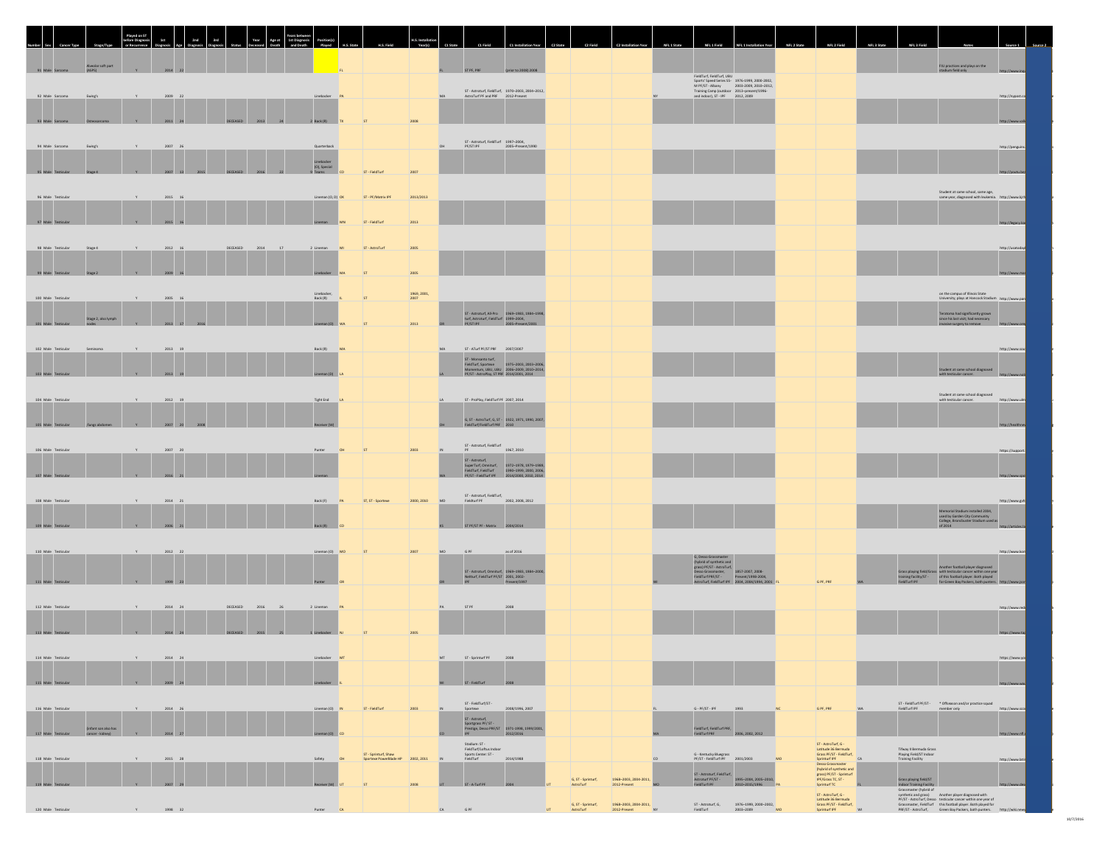| 91 Male Sarcoma       | Alveolar soft part<br>(ASPS) |                    | $2014 - 22$     |                  |                         |                                       |                                                           |                     | ST PF. PRE     | forior to 2008) 2008                                                                                                                                                                                       |                                 |                                                      |    |                                                                                                            |                                                                                                                                                                                               |           |                                                                                                                   |                                                                              | FIU practices and plays on the<br>stadium field only                                                                                                                                                                                       |                  |
|-----------------------|------------------------------|--------------------|-----------------|------------------|-------------------------|---------------------------------------|-----------------------------------------------------------|---------------------|----------------|------------------------------------------------------------------------------------------------------------------------------------------------------------------------------------------------------------|---------------------------------|------------------------------------------------------|----|------------------------------------------------------------------------------------------------------------|-----------------------------------------------------------------------------------------------------------------------------------------------------------------------------------------------|-----------|-------------------------------------------------------------------------------------------------------------------|------------------------------------------------------------------------------|--------------------------------------------------------------------------------------------------------------------------------------------------------------------------------------------------------------------------------------------|------------------|
| 92 Male Sarcoma       | Ewing's                      |                    | 2009 22         |                  |                         | Linebacker PA                         |                                                           |                     |                | ST - Astroturf, FieldTurf, 1970-2003, 2004-2012,<br>AstroTurf PF and PRF 2012-Present                                                                                                                      |                                 |                                                      |    | FieldTurf, FieldTurf, UBU<br>Training Camp (outdoor 2013-present/1996-<br>and indoor), ST - IPF 2012, 2009 | Sports' Speed Series S5-1976-1999, 2000-2002,<br>M PF/ST - Albany 2003-2009, 2010-2012,                                                                                                       |           |                                                                                                                   |                                                                              |                                                                                                                                                                                                                                            | http://mypost.cr |
| 93 Male 5             |                              |                    |                 |                  |                         | $2$ Back (R)                          |                                                           |                     |                |                                                                                                                                                                                                            |                                 |                                                      |    |                                                                                                            |                                                                                                                                                                                               |           |                                                                                                                   |                                                                              |                                                                                                                                                                                                                                            | http://www.      |
| 94 Male Sarcoma       | Ewing'                       |                    | $2007 - 26$     |                  |                         | Quarterback                           |                                                           |                     | PE/ST IPE      | ST - Astroturf, FieldTurf 1997-2004,<br>2005-Present/1990                                                                                                                                                  |                                 |                                                      |    |                                                                                                            |                                                                                                                                                                                               |           |                                                                                                                   |                                                                              |                                                                                                                                                                                                                                            | http://penguins  |
| 95 Male Testi         |                              |                    | 2007 13         |                  |                         | Linebacker<br>(O), Special<br>9 Teams | ST - FieldTurf                                            | 2007                |                |                                                                                                                                                                                                            |                                 |                                                      |    |                                                                                                            |                                                                                                                                                                                               |           |                                                                                                                   |                                                                              |                                                                                                                                                                                                                                            |                  |
| 96 Male Testicular    |                              |                    | $2015 - 16$     |                  |                         | Lineman (O, D) OK                     | ST - PF/Matrix IPF                                        | 2013/2013           |                |                                                                                                                                                                                                            |                                 |                                                      |    |                                                                                                            |                                                                                                                                                                                               |           |                                                                                                                   |                                                                              | Student at same school, same age,<br>same year, diagnosed with leukemia. http://www.kirh                                                                                                                                                   |                  |
| 97 Male 1             |                              |                    |                 |                  |                         |                                       | ST - FieldTurf                                            | 2013                |                |                                                                                                                                                                                                            |                                 |                                                      |    |                                                                                                            |                                                                                                                                                                                               |           |                                                                                                                   |                                                                              |                                                                                                                                                                                                                                            |                  |
| 98 Male Testicular    | Stage 4                      |                    | $2012\quad 16$  | DECEASED         | 2014                    | 2 Lineman                             | ST - AstroTurf                                            | 2005                |                |                                                                                                                                                                                                            |                                 |                                                      |    |                                                                                                            |                                                                                                                                                                                               |           |                                                                                                                   |                                                                              |                                                                                                                                                                                                                                            | http://usatoda   |
| 99 Male Testic        |                              |                    | $1009$ 16       |                  |                         | Linebacker                            |                                                           | 2005                |                |                                                                                                                                                                                                            |                                 |                                                      |    |                                                                                                            |                                                                                                                                                                                               |           |                                                                                                                   |                                                                              |                                                                                                                                                                                                                                            | http://www.      |
| 100 Male Testicular   |                              |                    | 2005 16         |                  |                         | Back (R)                              | ST                                                        | 1969, 2001,<br>2007 |                |                                                                                                                                                                                                            |                                 |                                                      |    |                                                                                                            |                                                                                                                                                                                               |           |                                                                                                                   |                                                                              | on the campus of Illinois State<br>University: plays at Hancock Stadium http://www.pan                                                                                                                                                     |                  |
| 101 Male Testicular   | Stage 2, also lymph          |                    | 2013 17         |                  |                         | Lineman (O)                           |                                                           | 2013                |                | $\begin{tabular}{ll} \text{ST - Astroturt, All-Pro} & \text{1969--1983, 1984--1998,}\\ \text{turf, Astroturt, FieldTurl} & \text{1999--2004,}\\ \text{PF/ST PF} & \text{2005--Present/2001} \end{tabular}$ |                                 |                                                      |    |                                                                                                            |                                                                                                                                                                                               |           |                                                                                                                   |                                                                              | $\begin{array}{c} \textbf{Teratom and significantly grown} \\ \textbf{since his last visit; had necessary} \end{array}$<br>invasive surgery to remove http://w                                                                             |                  |
| 102 Male Testicular   | Seminoma                     |                    | 2013 19         |                  |                         | Back (R)<br>MA                        |                                                           |                     |                | ST. ATurf PE/ST PRE 2007/2007                                                                                                                                                                              |                                 |                                                      |    |                                                                                                            |                                                                                                                                                                                               |           |                                                                                                                   |                                                                              |                                                                                                                                                                                                                                            | http://www.sor   |
| 103 Male Teg          |                              |                    |                 |                  |                         |                                       |                                                           |                     |                | ST - Monsanto turf,<br>FieldTurf, Sportexe 1975-2003, 2003-2006,<br>Momentum, UBU, UBU 2006-2009, 2010-2014,<br>PE/ST - AstroPlay, ST PRF 2014/2001, 2014                                                  |                                 |                                                      |    |                                                                                                            |                                                                                                                                                                                               |           |                                                                                                                   |                                                                              | Student at same school diagnosed<br>with testicular cancer. http://ww                                                                                                                                                                      |                  |
| 104 Male Testicula    |                              |                    | 2012 19         |                  |                         | Tight End LA                          |                                                           |                     |                | ST - ProPlay, FieldTurf PF 2007, 2014                                                                                                                                                                      |                                 |                                                      |    |                                                                                                            |                                                                                                                                                                                               |           |                                                                                                                   |                                                                              | Student at same school diagnosed<br>with testicular cancer.                                                                                                                                                                                | http://www.ulm   |
| 105 Male Ter          |                              |                    | $2002 - 20$     |                  |                         |                                       |                                                           |                     |                | G, ST - AstroTurf, G, ST - 1922, 1971, 1990, 2007<br>Turf/FieldTurf PRF 2010                                                                                                                               |                                 |                                                      |    |                                                                                                            |                                                                                                                                                                                               |           |                                                                                                                   |                                                                              |                                                                                                                                                                                                                                            | http://healt     |
| 106 Male Testicula    |                              |                    | $2007 - 20$     |                  |                         | Punter                                | ST                                                        | 2003                |                | ST - Astroturf, FieldTurf<br>1967, 2010                                                                                                                                                                    |                                 |                                                      |    |                                                                                                            |                                                                                                                                                                                               |           |                                                                                                                   |                                                                              |                                                                                                                                                                                                                                            | https://support. |
| 107 Male Testi        |                              |                    | 2016            |                  |                         |                                       |                                                           |                     |                |                                                                                                                                                                                                            |                                 |                                                      |    |                                                                                                            |                                                                                                                                                                                               |           |                                                                                                                   |                                                                              |                                                                                                                                                                                                                                            | http://www.      |
| 108 Male Testicula    |                              |                    | $2014 - 21$     |                  |                         | Back (F)                              | ST, ST - Sportexe                                         | 2000, 2010          | Fieldturf PF   | ST - Astroturf, FieldTurf,<br>2002, 2008, 2012                                                                                                                                                             |                                 |                                                      |    |                                                                                                            |                                                                                                                                                                                               |           |                                                                                                                   |                                                                              | Memorial Stadium installed 2004,                                                                                                                                                                                                           | http://www.gvh   |
| 109 Male              |                              |                    |                 |                  |                         | Back (R)                              |                                                           |                     |                | ST PF/ST PF - Matrix 2004/2014                                                                                                                                                                             |                                 |                                                      |    |                                                                                                            |                                                                                                                                                                                               |           |                                                                                                                   |                                                                              | used by Garden City Community<br>College, Broncbuster Stadium used as<br>of $2014$                                                                                                                                                         |                  |
| 110 Male Testicular   |                              |                    | $2012\qquad 22$ |                  |                         | Lineman (O) MO                        | ST                                                        | 2007                | $G$ PF<br>MO   | as of 2016                                                                                                                                                                                                 |                                 |                                                      |    | G, Desso Grassmaster                                                                                       |                                                                                                                                                                                               |           |                                                                                                                   |                                                                              |                                                                                                                                                                                                                                            | http://www.kon   |
| 111 Male Testicular   |                              |                    | 1999 23         |                  |                         | Punter                                |                                                           |                     |                | ST - Astroturf, Omniturf, 1969-1983, 1984-2000,<br>NeXturf, FieldTurf PF/ST 2001, 2002-<br>IPF Present/1997                                                                                                |                                 |                                                      |    |                                                                                                            |                                                                                                                                                                                               | G PF, PRF |                                                                                                                   |                                                                              | Another football player diagnosed<br>Grass playing field/Grass with texticular cancer within one year<br>training facility/ST - of this football player. Both player<br>FieldTurf IPF - for Green Bay Packers, both punters.               |                  |
| 112 Male Testicular   |                              |                    | $2014 - 24$     | DECEASED         | $\quad$ 2016 $\quad$ 26 | 2 Lineman<br>P                        |                                                           |                     | STPF           | 2008                                                                                                                                                                                                       |                                 |                                                      |    |                                                                                                            |                                                                                                                                                                                               |           |                                                                                                                   |                                                                              |                                                                                                                                                                                                                                            | http://www.red   |
| 113 Male Testicular   |                              | V                  | 2014 24         | DECEASED 2015 25 |                         | 1 Linebacker                          |                                                           |                     |                |                                                                                                                                                                                                            |                                 |                                                      |    |                                                                                                            |                                                                                                                                                                                               |           |                                                                                                                   |                                                                              |                                                                                                                                                                                                                                            | https://www.ta   |
| $114$ Male Testicular |                              | $-9$               | 2014 24         |                  |                         | Linebacker MT                         |                                                           |                     | <b>MT</b>      | ST - Sprinturf PF 2008                                                                                                                                                                                     |                                 |                                                      |    |                                                                                                            |                                                                                                                                                                                               |           |                                                                                                                   |                                                                              |                                                                                                                                                                                                                                            | https://www.yo   |
| 115 Male Testicul     |                              |                    |                 |                  |                         |                                       |                                                           |                     | ST - FieldTurf |                                                                                                                                                                                                            |                                 |                                                      |    |                                                                                                            |                                                                                                                                                                                               |           |                                                                                                                   |                                                                              |                                                                                                                                                                                                                                            | http://www.wi    |
| 116 Male Testicular   |                              |                    | $2014\quad 26$  |                  |                         | Lineman (O) $\qquad 1N$               | ST - FieldTurf                                            | 2003                |                | $\begin{array}{lcl} \mathsf{ST}\cdot\mathsf{FieldTurl}/\mathsf{ST}\cdot\\ \mathsf{Sportexe} \end{array}$<br>2008/1996, 2007                                                                                |                                 |                                                      |    | $G - PF/ST - IPF$                                                                                          | 1993<br>NC                                                                                                                                                                                    | G PF, PRF |                                                                                                                   |                                                                              | $\begin{tabular}{l} \bf ST\cdot FieldTurf\ PF/ST\cdot\\ \bf FieldTurf\ IPF\end{tabular} \begin{tabular}{p{0.8cm}p{0.8cm}} \bf ST\cdot AIGS \& Dffs as on and/or practice squad \end{tabular}$                                              | http://www.sco   |
| 117 Male Testicular   |                              |                    | 2014 27         |                  |                         | Lineman (0) CO                        |                                                           |                     |                | $\begin{tabular}{l} \textbf{ST - Astronomy,} \\ \textbf{Sportgrass PF/ST -} \\ \textbf{Perstigs, Desso PRF/ST} \\ \textbf{IPF} \\ \end{tabular}$                                                           |                                 |                                                      |    | FieldTurf, FieldTurf PRF,<br>FieldTurf PRF 2006, 2002, 2012                                                |                                                                                                                                                                                               |           | ST - AstroTurf, G -                                                                                               |                                                                              |                                                                                                                                                                                                                                            | http://www.nf    |
| 118 Male Testicular   |                              |                    | 2015 28         |                  |                         | Safety                                | ST - Sprinturf, Shaw<br>Sportexe PowerBlade HP 2002, 2011 |                     |                | Stadium: ST -<br>FieldTurf/Loftus Indoor<br>Sports Center: ST -<br>FieldTurf<br>2014/1988                                                                                                                  |                                 |                                                      |    | G - Kentucky Bluegrass<br>PF/ST - FieldTurf IPF 2001/2003                                                  | MO                                                                                                                                                                                            |           | Latitude 36 Bermuda<br>Grass PF/ST - FieldTurf,<br>Sprinturf IPF<br>Desso Grassmaster<br>(hybrid of synthetic and | Tifway II Bermuda Grass<br>Playing Field/ST Indoor<br>Training Facility      |                                                                                                                                                                                                                                            | http://www.lati  |
| 119 Male Testicular   |                              | <b>Y</b>           | 2007 29         |                  |                         | Receiver (W)                          | <b>ST</b>                                                 | 2008                |                | UT ST-A-Turf PF 2004                                                                                                                                                                                       | G, ST - Sprinturf,<br>AstroTurf | 1968-2003, 2004-2011,<br>2012-Present                |    |                                                                                                            | $\begin{array}{l l} \text{ST - Astructurt, FieldTurf,} \\ \text{Astructurt PF/ST-} & \text{1995--2004, 2005--2010,} \\ \text{FieldTurf IPF} & \text{2010--2015/1996} & \text{PA} \end{array}$ |           | grass) PF/ST - Sprinturf<br>IPF/Grass TC, ST -<br>Sprinturf TC<br>ST - AstroTurf, G -                             | Grass playing field/ST<br>Indoor Training Facility<br>Grassmaster (hybrid of |                                                                                                                                                                                                                                            | http://www.d     |
| 120 Male Testicular   |                              | <b>IN STRAIGHT</b> | 1998 32         |                  |                         | Punter CA                             |                                                           |                     | G PF<br>CA     |                                                                                                                                                                                                            |                                 | $G, ST - Spiriturt,$<br>AstroTurf 2012-Present 2011. | NY |                                                                                                            | ST - Astroturf, G, $1976-1999, 2000-2002,$<br>FieldTurf $2003-2009$<br>MO                                                                                                                     |           | Latitude 36 Bermuda<br>Grass PF/ST - FieldTurf,<br>Sprinturf IPF                                                  |                                                                              | urassmasser (rrytnu us<br>Pf/ST - AstroTurf, Dasso testicular cancer within one year of<br>Pf/ST - AstroTurf, Dasso testicular cancer within one year of<br>Grassmaster, FieldTurf - this football player. Both playerd for<br>PRF/ST - As |                  |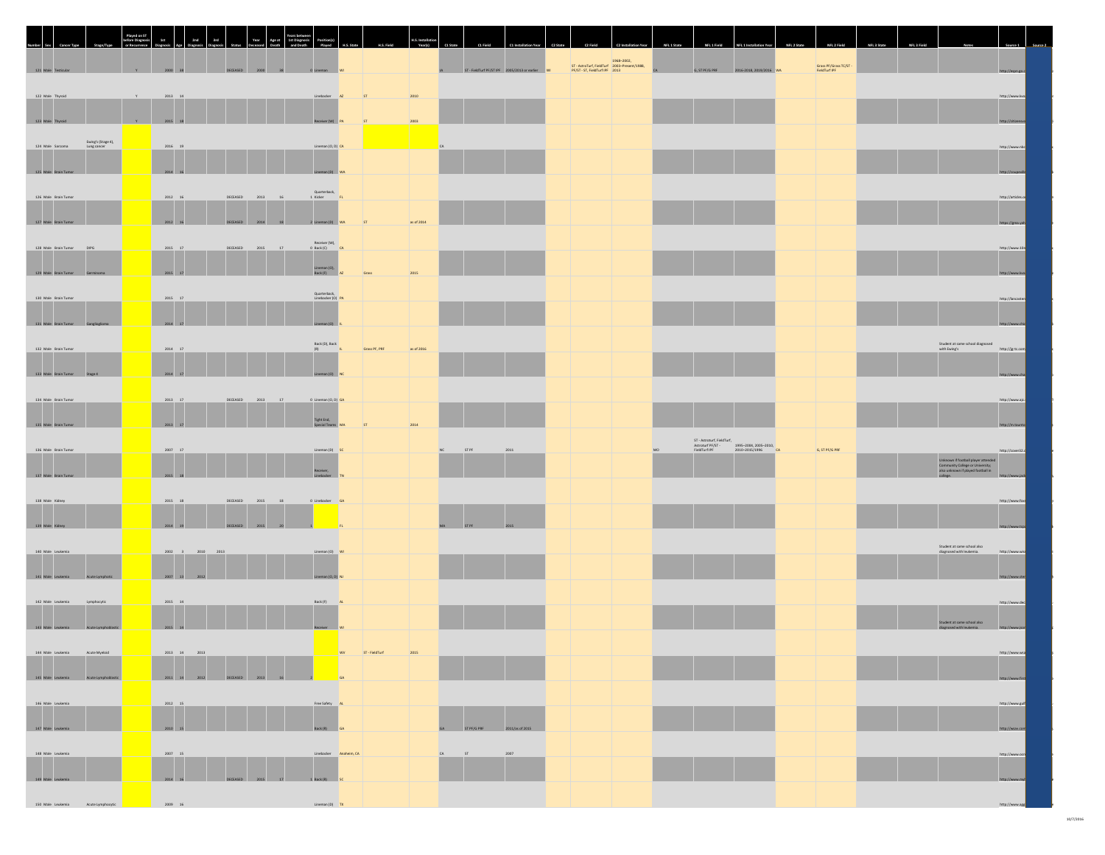| umber Se                                                           |                 |                                                 |                                      |                                                |                      |              |                |                                               |                                                                                              |                |                                                                                                              |                                         |                                                                                                               |                                        |  |
|--------------------------------------------------------------------|-----------------|-------------------------------------------------|--------------------------------------|------------------------------------------------|----------------------|--------------|----------------|-----------------------------------------------|----------------------------------------------------------------------------------------------|----------------|--------------------------------------------------------------------------------------------------------------|-----------------------------------------|---------------------------------------------------------------------------------------------------------------|----------------------------------------|--|
| 121 Male Testicular                                                |                 |                                                 |                                      |                                                |                      |              |                | ST - FieldTurf PF/ST IPF 2005/2013 or earlier | 1968-2002,<br>ST - AstroTurf, FieldTurf 2003-Present/1988,<br>PF/ST - ST, FieldTurf IPF 2013 | G, ST PF/G PRF | 2016-2018, 2019/2016 WA                                                                                      | Grass PF/Grass TC/ST -<br>FieldTurf IPF |                                                                                                               |                                        |  |
| 122 Male Thyroid<br>123 Male Thyroid                               | Y.<br>Y 2015 18 | $2013\quad 14$                                  |                                      | Linebacker AZ<br>Receiver (W)                  |                      | 2010<br>2003 |                |                                               |                                                                                              |                |                                                                                                              |                                         |                                                                                                               | http://www.kvo<br>http://citizensvo    |  |
| Ewing's (Stage 4),<br>Lung cancer<br>124 Male Sarcoma              |                 | $2016$ 19                                       |                                      | Lineman (O, D) CA                              |                      |              |                |                                               |                                                                                              |                |                                                                                                              |                                         |                                                                                                               | http://www.nbc                         |  |
| 125 Male Brain Tumor<br>126 Male Brain Tumor                       |                 | 2014 16<br>$2012$ 16                            | DECEASED<br>2013                     | Lineman (D) V<br>Quarterback,<br>1 Kicker      |                      |              |                |                                               |                                                                                              |                |                                                                                                              |                                         |                                                                                                               | http://coupeville<br>http://articles.o |  |
| 127 Male Brain Tumor                                               |                 | 2012 16                                         | DECEASED 2014 18                     | 2 Lineman (D) WA                               |                      | as of 2014   |                |                                               |                                                                                              |                |                                                                                                              |                                         |                                                                                                               | https://gma.yah                        |  |
| 128 Male Brain Tumor DIPG<br>129 Male Brain Tumor                  |                 | 2015 17<br>2015 17                              | DECEASED 2015 17                     | Receiver (W),<br>0 Back (C) CA<br>Lineman (O), | Grass                |              |                |                                               |                                                                                              |                |                                                                                                              |                                         |                                                                                                               | http://www.10r<br>http://www.kvo       |  |
| 130 Male Brain Tumor                                               |                 | $2015 - 17$                                     |                                      | Quarterback,<br>Linebacker (O) PA              |                      |              |                |                                               |                                                                                              |                |                                                                                                              |                                         |                                                                                                               | http://lancaster                       |  |
| 131 Male Brain Tumor Gangliogioma                                  |                 | 2014 17                                         |                                      | Lineman (O)<br>Back (D), Back<br>(R)           |                      |              |                |                                               |                                                                                              |                |                                                                                                              |                                         | $\begin{array}{lcl} \textit{Student at same school diagnosed} \\ \textit{with Ewing's} \end{array}$           | http://www.chio                        |  |
| 132 Male Brain Tumor<br>133 Male Brain Tumor 5tage 4               |                 | $2014 - 17$<br>2014 17                          |                                      | Lineman (O)                                    | Grass PF, PRF        | as of 2016   |                |                                               |                                                                                              |                |                                                                                                              |                                         |                                                                                                               | http://jg-tc.com<br>http://www.cha     |  |
| 134 Male Brain Tumor                                               |                 | $2013\,$ $ 17$                                  | DECEASED 2013 17                     | 0 Lineman (O, D) GA                            |                      |              |                |                                               |                                                                                              |                |                                                                                                              |                                         |                                                                                                               | http://www.aic.                        |  |
| 135 Male Brain Tumor<br>136 Male Brain Tumor                       |                 | 2013 17<br>$2007 - 17$                          |                                      | Tight End,<br>Special Teams<br>Lineman (D) SC  |                      | 2014         | <b>STPF</b>    | 2011                                          |                                                                                              |                | ST - Astroturf, FieldTurf,<br>Astroturf PF/ST - 1995-2004, 2005-2010,<br>FieldTurf IPF - 2010-2015/1996 - CA | G, ST PF/G PRF                          |                                                                                                               | http://m.taunti<br>http://cover32.c    |  |
| 137 Male Brain Tumor                                               |                 | 2015 18                                         |                                      | Receiver,<br>Linebacker                        |                      |              |                |                                               |                                                                                              |                |                                                                                                              |                                         | Unknown if football player attended<br>Community College or University;<br>also unknown if played football in | http://www.jac                         |  |
| 138 Male Kidney<br>139 Male Kidney                                 |                 | $2015$ 18<br>2014 19                            | DECEASED 2015 18<br>DECEASED 2015 20 | 0 Linebacker GA                                |                      |              |                |                                               |                                                                                              |                |                                                                                                              |                                         |                                                                                                               | http://www.fox<br>http://www.tca       |  |
| 140 Male Leukemia                                                  |                 | 2002 3 2010 2013                                |                                      | Lineman (O) WI                                 |                      |              |                |                                               |                                                                                              |                |                                                                                                              |                                         | Student at same school also<br>diagnosed with leukemia.                                                       | http://www.wis                         |  |
| 141 Male Leukemia Acute Lymphotic                                  |                 | 2007 13 2012                                    |                                      | Lineman (O. D)                                 |                      |              |                |                                               |                                                                                              |                |                                                                                                              |                                         |                                                                                                               | http://www.ster                        |  |
| 142 Male Leukemia<br>143 Male Leukemia Acute Lymphoblastic         |                 | $2015$ $\quad 14$<br>2015 14                    |                                      | Back (F)<br>Receiver WI                        |                      |              |                |                                               |                                                                                              |                |                                                                                                              |                                         | Student at same school also<br>diagnosed with leukemia.                                                       | http://www.dec                         |  |
| 144 Male Leukemia Acute Myeloid                                    |                 | $2013$ $14$ $2013$                              |                                      |                                                | WV ST-FieldTurf 2015 |              |                |                                               |                                                                                              |                |                                                                                                              |                                         |                                                                                                               | http://www.wsa                         |  |
| 145 Male Leukemia Acute Lymphoblastic<br>146 Male Leukemia         |                 | 2011 14 2012 DECEASED 2013 16<br>$2012\quad 15$ |                                      | Free Safety AL                                 |                      |              |                |                                               |                                                                                              |                |                                                                                                              |                                         |                                                                                                               | http://www.first<br>http://www.euff    |  |
| 147 Male Leukemia                                                  |                 | 2010 15                                         |                                      | Back (R) GA                                    |                      |              | GA ST PF/G PRF | 2011/as of 2015                               |                                                                                              |                |                                                                                                              |                                         |                                                                                                               | http://wsav.com                        |  |
| 148 Male Leukemia<br><b>148 Male Leukemia</b><br>149 Male Leukemia |                 | $2007$ 15<br>$2014$ $16$                        | DECEASED 2015 17                     | Linebacker Anaheim, CA<br>1 Back (R) SC        |                      |              |                |                                               |                                                                                              |                |                                                                                                              |                                         |                                                                                                               | http://www.ocr<br>http://www.m         |  |
| 150 Male Leukemia Acute Lymphocytic                                |                 | 2009 16                                         |                                      |                                                |                      |              |                |                                               |                                                                                              |                |                                                                                                              |                                         |                                                                                                               | http://www.                            |  |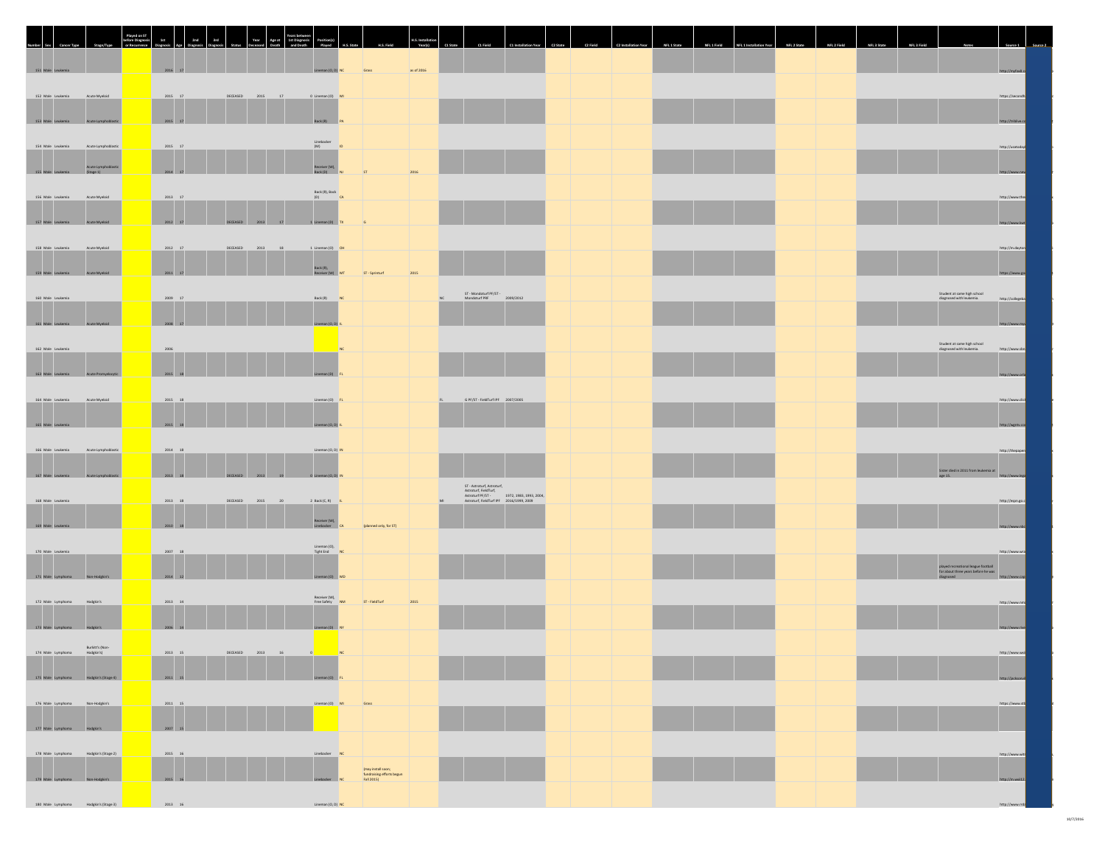| Number Sex                                         |                                  | layed on S' | 2nd<br>3rd<br>Year                    |                                                                                    |            |                                                   |  |  |                                                                                                           |  |
|----------------------------------------------------|----------------------------------|-------------|---------------------------------------|------------------------------------------------------------------------------------|------------|---------------------------------------------------|--|--|-----------------------------------------------------------------------------------------------------------|--|
|                                                    |                                  |             |                                       |                                                                                    |            |                                                   |  |  |                                                                                                           |  |
| 151 Male Leuke                                     |                                  |             | 2016 17                               | Grass<br>Lineman (O, D) NC                                                         | as of 2016 |                                                   |  |  | http://myfax8                                                                                             |  |
| 152 Male Leukemia                                  | Acute Myeloid                    |             | $2015\quad 17$<br>2015 17<br>DECEASED | 0 Lineman (O) MI                                                                   |            |                                                   |  |  | https://secondf                                                                                           |  |
| 153 Male Leukemia                                  | Acute Lymphoblastic              |             | 2015 17                               | Back (R)                                                                           |            |                                                   |  |  | http://triblive.c                                                                                         |  |
| 154 Male Leukemia                                  | Acute Lymphoblastic              |             | 2015 17                               | $\begin{array}{c} \text{Linebacker} \\ (M) \end{array} \hspace{1cm} \text{ID}$     |            |                                                   |  |  | http://usatoday                                                                                           |  |
|                                                    | Acute Lymphoblastic<br>(Stage 1) |             |                                       | Receiver (W),<br>Back (D)                                                          |            |                                                   |  |  |                                                                                                           |  |
| 155 Male Leukemia                                  |                                  |             | 2014 17                               | 2016                                                                               |            |                                                   |  |  | http://www.ne                                                                                             |  |
| 156 Male Leukemia                                  | Acute Myeloid                    |             | $2013$ 17                             | Back (R), Back<br>(D)                                                              |            |                                                   |  |  | http://www.the                                                                                            |  |
| 157 Male Leukemia                                  | Acute Myeloid                    |             | 2012 17<br>DECEASED 2013 17           | 1 Lineman (D)                                                                      |            |                                                   |  |  | http://www.kv                                                                                             |  |
| 158 Male Leukemia                                  | Acute Myeloid                    |             | $2012\quad 17$<br>DECEASED 2013 18    | 1 Lineman (O) OH                                                                   |            |                                                   |  |  | http://m.davton                                                                                           |  |
| 159 Male Leukemia                                  | <b>Acute Myeloid</b>             |             | 2011 17                               | $\left\  \text{Back (R)}, \right\ $ Receiver $(W)$<br>2015<br>ST - Sprinturf       |            |                                                   |  |  | https://www.g                                                                                             |  |
|                                                    |                                  |             |                                       |                                                                                    |            | ST - Mondoturf PF/ST -<br>Mondoturf PRF 2009/2012 |  |  | Student at same high school<br>diagnosed with leukemia.                                                   |  |
| 160 Male Leukemia                                  |                                  |             | $2009 - 17$                           | Back (R) NC                                                                        |            |                                                   |  |  | http://collegeba                                                                                          |  |
| 161 Male Leukemia                                  | Acute Myeloid                    |             | 2008 17                               | nan (O, D)                                                                         |            |                                                   |  |  |                                                                                                           |  |
| 162 Male Leukemia                                  |                                  |             | 2006                                  |                                                                                    |            |                                                   |  |  | Student at same high school<br>diagnosed with leukemia.<br>http://www.sbn                                 |  |
| 163 Male Leukemia                                  |                                  |             | 2015 18                               |                                                                                    |            |                                                   |  |  |                                                                                                           |  |
| 164 Male Leukemia                                  | Acute Myeloid                    |             | $2015\quad 18$                        | Lineman (O) FL                                                                     |            | G PF/ST - FieldTurf IPF 2007/2005                 |  |  | http://www.clic                                                                                           |  |
|                                                    |                                  |             |                                       |                                                                                    |            |                                                   |  |  |                                                                                                           |  |
| 165 Male Leukemia                                  |                                  |             | 2015 18                               | man (O, D)                                                                         |            |                                                   |  |  | http://wgntv.c                                                                                            |  |
| 166 Male Leukemia                                  | Acute Lymphoblastic              |             | $2014\quad 18$                        | Lineman (O, D) IN                                                                  |            |                                                   |  |  | http://thepaper                                                                                           |  |
| 167 Male Leukemia                                  | Acute Lymphoblastic              |             | 2013 18<br>DECEASED 2013 19           | 0 Lineman (O, D) If                                                                |            |                                                   |  |  | $\begin{array}{l} \text{Sister died in 2011 from leukemia at}\\ \text{age 15.} \end{array}$<br>http://www |  |
| 168 Male Leukemia                                  |                                  |             | $2013$ 18<br>DECEASED<br>2015         | 2 Back (C, R)   IL                                                                 |            |                                                   |  |  | http://espn.go.s                                                                                          |  |
|                                                    |                                  |             |                                       | Receiver (W),                                                                      |            |                                                   |  |  |                                                                                                           |  |
| 169 Male Leukemia                                  |                                  |             | 2010 18                               | (planned only, for ST)                                                             |            |                                                   |  |  | http://www.                                                                                               |  |
| 170 Male Leukemia                                  |                                  |             | $2007\,$ $18$                         | $\begin{array}{cc}\n\text{Linear (O)}\\ \text{Right End} & \text{NC}\n\end{array}$ |            |                                                   |  |  | http://www.wra                                                                                            |  |
| 171 Male Lymphoma                                  |                                  |             | 2014 12                               | (0)                                                                                |            |                                                   |  |  | played recreational league football<br>for about three years before he was<br>diagnosed<br>http://        |  |
| 172 Male Lymphoma                                  | Hodgkin's                        |             | $2013 - 14$                           | Receiver (W),<br>Free Safety NM<br>ST-FieldTurf<br>2015                            |            |                                                   |  |  | http://www.nm                                                                                             |  |
| 173 Male Lymphoma                                  |                                  |             | $2006 - 14$                           | Lineman (D) N                                                                      |            |                                                   |  |  | http://www.riv                                                                                            |  |
|                                                    | Burkitt's (Non-                  |             |                                       |                                                                                    |            |                                                   |  |  |                                                                                                           |  |
| Burkitt's (Non-<br>174 Male Lymphoma<br>Hodgkin's) |                                  |             | $2013$ 15<br>DECEASED 2013 16         |                                                                                    |            |                                                   |  |  | http://www.wxi                                                                                            |  |
| 175 Male Lymphoma Hodgkin's (Stage 4)              |                                  |             | 2011 15                               |                                                                                    |            |                                                   |  |  | http://jacksor                                                                                            |  |
| 176 Male Lymphoma Non-Hodgion's                    |                                  |             | $2011 \qquad 15$                      | Lineman (O) MI<br>Grass                                                            |            |                                                   |  |  | https://www.stb                                                                                           |  |
| 177 Male Lymphoma Hodgkin's                        |                                  |             | 2007 15                               |                                                                                    |            |                                                   |  |  |                                                                                                           |  |
| 178 Male Lymphoma Hodgkin's (Stage 2)              |                                  |             | $2015 - 16$                           |                                                                                    |            |                                                   |  |  | http://www.wit                                                                                            |  |
|                                                    |                                  |             |                                       | (may install soon;<br>fundraising efforts begun<br>Fall 2015)                      |            |                                                   |  |  |                                                                                                           |  |
| 179 Male Lymphoma Non-Hodgkin's                    |                                  |             | $2015$ $16$                           |                                                                                    |            |                                                   |  |  | http://m.wxii12                                                                                           |  |
| 180 Male Lymphoma Hodgkin's (Stage 3)              |                                  |             | 2013 16                               | Lineman (O, D) NC                                                                  |            |                                                   |  |  | http://www                                                                                                |  |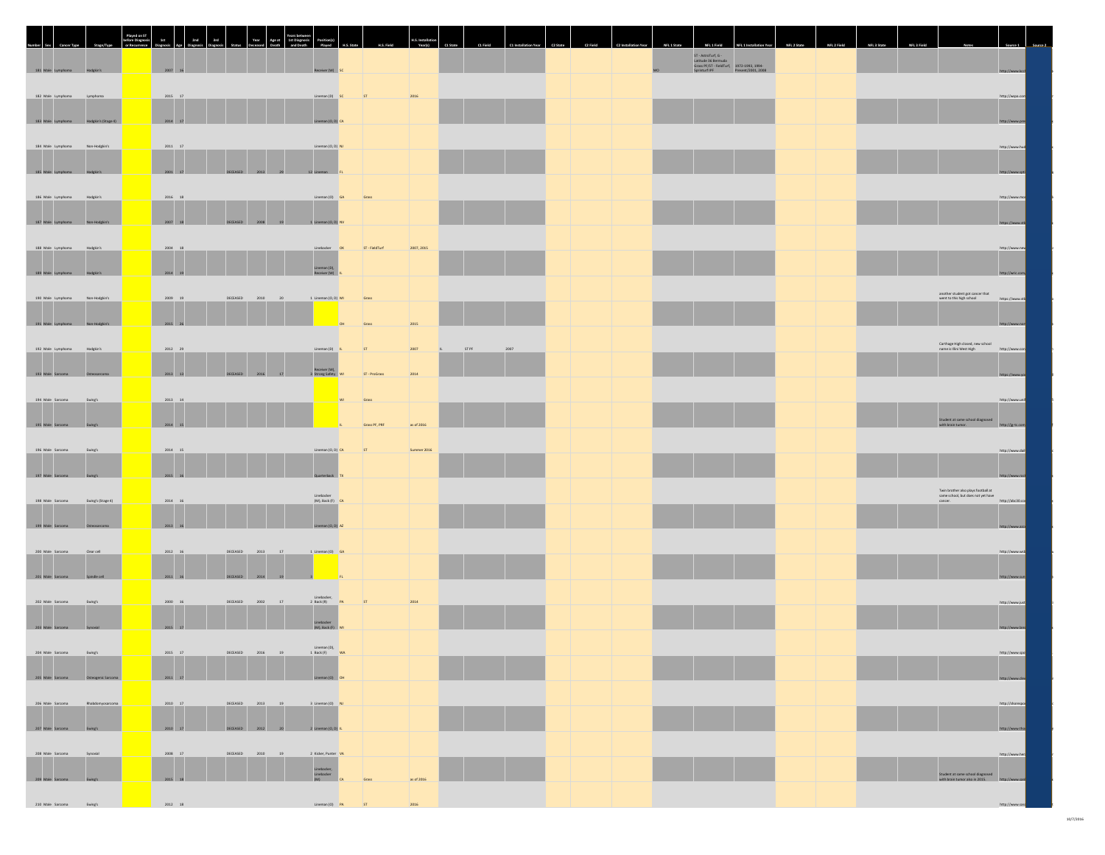| Mumber Sex                                   |                     | 2nd<br>1st                 | 3rd             | Year Age at 1st Diagnosis<br>Deceased Death and Death |                                                            |       |                |                           |       |  |  |                                                                                                                               |  |  |        |                                                                                 |                 |  |
|----------------------------------------------|---------------------|----------------------------|-----------------|-------------------------------------------------------|------------------------------------------------------------|-------|----------------|---------------------------|-------|--|--|-------------------------------------------------------------------------------------------------------------------------------|--|--|--------|---------------------------------------------------------------------------------|-----------------|--|
| 181 Male Lymphoma Hodgkin's                  |                     | 2007 16                    |                 |                                                       | Receiver (W) S                                             |       |                |                           |       |  |  | ST - AstroTurf, G -<br>Latitude 36 Bermuda<br>Grass PF/ST - FieldTurf, 1972-1993, 1994-<br>Sprinturf IPF - Present/2001, 2008 |  |  |        |                                                                                 | http://www.kc   |  |
| 182 Male Lymphoma                            | Lymphoma            | $2015\,$ $ 17$             |                 |                                                       | Lineman (D) SC                                             | ST    |                | 2016                      |       |  |  |                                                                                                                               |  |  |        |                                                                                 | http://wspa.com |  |
| 183 Male Lymphoma                            | Hodekin's (Stage 4) | 2014 17                    |                 |                                                       | Lineman (O. D)                                             |       |                |                           |       |  |  |                                                                                                                               |  |  |        |                                                                                 | http://www.pr   |  |
| 184 Male Lymphoma                            | Non-Hodgkin's       | $2011$ 17                  |                 |                                                       | Lineman (O, D) NJ                                          |       |                |                           |       |  |  |                                                                                                                               |  |  |        |                                                                                 | http://www.huc  |  |
| 185 Male Lymphoma                            | Hodgkin's           | 2001 17                    |                 | DECEASED 2013 29                                      | 12 Lineman                                                 |       |                |                           |       |  |  |                                                                                                                               |  |  |        |                                                                                 | http://www.sp   |  |
| 186 Male Lymphoma                            | Hodgkin's           | $2016$ 18                  |                 |                                                       | Lineman (O) GA                                             |       | Grass          |                           |       |  |  |                                                                                                                               |  |  |        |                                                                                 | http://www.mo   |  |
| 187 Male Lymph                               |                     | 2007 18                    |                 | 2008<br>19                                            | 1 Lineman (O. D)                                           |       |                |                           |       |  |  |                                                                                                                               |  |  |        |                                                                                 | https://www.s   |  |
| 188 Male Lymphoma                            | Hodgkin's           | $2004\,$ $ 18$             |                 |                                                       | Linebacker OK                                              |       | ST - FieldTurf | 2007, 2015                |       |  |  |                                                                                                                               |  |  |        |                                                                                 | http://www.nev  |  |
| 189 Male Lymph                               |                     | 2014 19                    |                 |                                                       | Lineman (D),<br>Receiver (W)                               |       |                |                           |       |  |  |                                                                                                                               |  |  |        |                                                                                 |                 |  |
| 190 Male Lymphoma                            | Non-Hodgkin's       | 2009 19                    | DECEASED        | 2010<br>20                                            | 1 Lineman (O, D) MI                                        |       | Grass          |                           |       |  |  |                                                                                                                               |  |  |        | another student got cancer that<br>went to this high school                     | https://www.stb |  |
| 191 Male Lymphoma                            | Non-Hodgkin's       | 2015 26                    |                 |                                                       |                                                            |       | Grass          | 2015                      |       |  |  |                                                                                                                               |  |  |        |                                                                                 |                 |  |
| 192 Male Lymphoma                            | Hodgkin's           | $2012 - 29$                |                 |                                                       | Lineman (D) IL                                             | ST    |                | 2007                      | ST PF |  |  |                                                                                                                               |  |  |        | Carthage High closed, new school<br>name is Illini West High                    | http://www.con  |  |
| 193 Male Sarcoma                             | creosarcoma         | 2013 13                    |                 | 2016                                                  | Receiver (W),<br>3 Strong Safety VI                        |       | ST - ProGrass  | 2014                      |       |  |  |                                                                                                                               |  |  |        |                                                                                 |                 |  |
| 194 Male Sarcoma                             | Ewing's             | $2013\quad 14$             |                 |                                                       |                                                            |       | Grass          |                           |       |  |  |                                                                                                                               |  |  |        | <br>  Student at same school diagnosed<br>  http://ig-tc.cr                     | http://www.unit |  |
| 195 Male Sarcoma<br>196 Male Sarcoma         | Ewing's<br>Ewing's  | 2014 15<br>$2014 - 15$     |                 |                                                       | Lineman (O, D) CA                                          | ST    | Grass PF, PRF  | as of 2016<br>Summer 2016 |       |  |  |                                                                                                                               |  |  |        |                                                                                 | http://www.dail |  |
| 197 Male Sarcoma                             | Ewing's             | 2015 16                    |                 |                                                       | Quarterback                                                |       |                |                           |       |  |  |                                                                                                                               |  |  |        |                                                                                 |                 |  |
| 198 Male Sarcoma                             | Ewing's (Stage 4)   | $2014 - 16$                |                 |                                                       | Linebacker<br>(M), Back (F) CA                             |       |                |                           |       |  |  |                                                                                                                               |  |  | cancer | Twin brother also plays football at<br>same school, but does not yet have       | http://abc30.co |  |
| 199 Male Sarcoma                             | Osteosarcoma        | 2013 16                    |                 |                                                       | Lineman (O, D)                                             |       |                |                           |       |  |  |                                                                                                                               |  |  |        |                                                                                 | http://www.a    |  |
| 200 Male Sarcoma                             | Clear cell          | $2012\quad 16$             | DECEASED        | 2013<br>17                                            | 1 Lineman (O) GA                                           |       |                |                           |       |  |  |                                                                                                                               |  |  |        |                                                                                 | http://www.wsb  |  |
| 201 Male Sarcoma                             | Spindle cell        | 2011 16                    | <b>DECEASED</b> | 2014                                                  |                                                            |       |                |                           |       |  |  |                                                                                                                               |  |  |        |                                                                                 | http://www.s    |  |
| 202 Male Sarcoma                             | Ewing's             | $2000 - 16$                | DECEASED        | 2002<br>17                                            | Linebacker<br>$2$ Back (R)                                 | ST    |                | 2014                      |       |  |  |                                                                                                                               |  |  |        |                                                                                 | http://www.just |  |
| 203 Male Sarcoma                             | Synovial            | 2015 17                    |                 |                                                       | Linebacker<br>(M), Back (F)                                |       |                |                           |       |  |  |                                                                                                                               |  |  |        |                                                                                 | http://www.lan  |  |
| 204 Male Sarcoma Ewing's                     |                     | 2015 17                    |                 | DECEASED 2016 19 1 Back (F) WA                        | Lineman (D),                                               |       |                |                           |       |  |  |                                                                                                                               |  |  |        |                                                                                 | http://www.spc  |  |
| 205 Male Sarcoma <b>Osteogenic Sarcoma</b>   |                     | 2011 17                    |                 |                                                       | Lineman (O) C                                              |       |                |                           |       |  |  |                                                                                                                               |  |  |        |                                                                                 | http://www.s    |  |
| 206 Male Sarcoma                             | Rhabdomyosarcoma    | $2010$ $\quad 17$          |                 | DECEASED 2013 19                                      | 3 Lineman (O) NJ                                           |       |                |                           |       |  |  |                                                                                                                               |  |  |        |                                                                                 | http://shorespo |  |
| 207 Male Sarcoma Ewing's                     |                     | 2010 17                    |                 | DECEASED 2012 20 2 Lineman (O, D) IL                  |                                                            |       |                |                           |       |  |  |                                                                                                                               |  |  |        |                                                                                 | http://www.th   |  |
| 208 Male Sarcoma                             | Synovial            | $2008 - 17$<br>$2015$ $18$ |                 | DECEASED 2010 19                                      | 2 Kicker, Punter VA<br>Linebacker,<br>Linebacker<br>(M) CA | Grass |                | as of 2016                |       |  |  |                                                                                                                               |  |  |        | Student at same school diagnosed<br>with brain tumor also in 2015. http://www.s | http://www.her  |  |
| 209 Male Sarcoma Ewing's<br>210 Male Sarcoma | Ewing's             | 2012 18                    |                 |                                                       | Lineman (O) PA                                             |       |                |                           |       |  |  |                                                                                                                               |  |  |        |                                                                                 | http://ww       |  |
|                                              |                     |                            |                 |                                                       |                                                            |       |                |                           |       |  |  |                                                                                                                               |  |  |        |                                                                                 |                 |  |